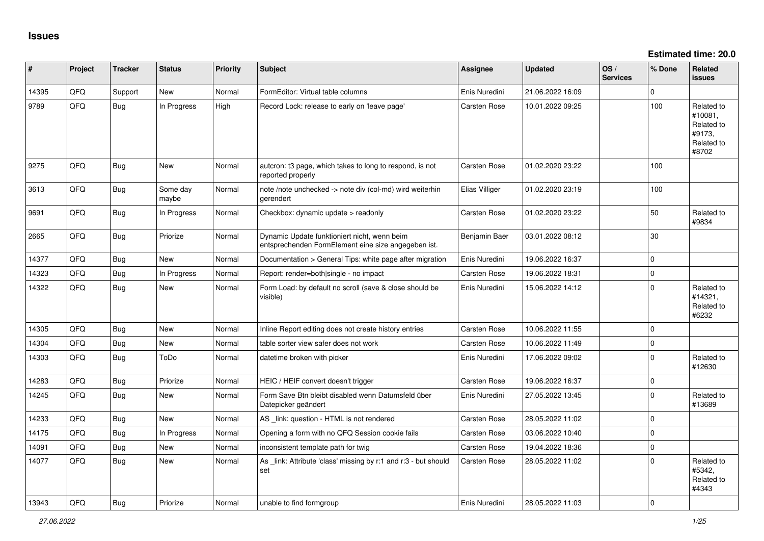**Estimated time: 20.0**

| #     | Project | <b>Tracker</b> | <b>Status</b>     | <b>Priority</b> | <b>Subject</b>                                                                                      | Assignee            | <b>Updated</b>   | OS/<br><b>Services</b> | % Done      | <b>Related</b><br><b>issues</b>                                      |
|-------|---------|----------------|-------------------|-----------------|-----------------------------------------------------------------------------------------------------|---------------------|------------------|------------------------|-------------|----------------------------------------------------------------------|
| 14395 | QFQ     | Support        | <b>New</b>        | Normal          | FormEditor: Virtual table columns                                                                   | Enis Nuredini       | 21.06.2022 16:09 |                        | $\Omega$    |                                                                      |
| 9789  | QFQ     | <b>Bug</b>     | In Progress       | High            | Record Lock: release to early on 'leave page'                                                       | <b>Carsten Rose</b> | 10.01.2022 09:25 |                        | 100         | Related to<br>#10081,<br>Related to<br>#9173,<br>Related to<br>#8702 |
| 9275  | QFQ     | Bug            | <b>New</b>        | Normal          | autcron: t3 page, which takes to long to respond, is not<br>reported properly                       | <b>Carsten Rose</b> | 01.02.2020 23:22 |                        | 100         |                                                                      |
| 3613  | QFQ     | Bug            | Some day<br>maybe | Normal          | note /note unchecked -> note div (col-md) wird weiterhin<br>aerendert                               | Elias Villiger      | 01.02.2020 23:19 |                        | 100         |                                                                      |
| 9691  | QFQ     | <b>Bug</b>     | In Progress       | Normal          | Checkbox: dynamic update > readonly                                                                 | Carsten Rose        | 01.02.2020 23:22 |                        | 50          | Related to<br>#9834                                                  |
| 2665  | QFQ     | Bug            | Priorize          | Normal          | Dynamic Update funktioniert nicht, wenn beim<br>entsprechenden FormElement eine size angegeben ist. | Benjamin Baer       | 03.01.2022 08:12 |                        | 30          |                                                                      |
| 14377 | QFQ     | <b>Bug</b>     | <b>New</b>        | Normal          | Documentation > General Tips: white page after migration                                            | Enis Nuredini       | 19.06.2022 16:37 |                        | $\mathbf 0$ |                                                                      |
| 14323 | QFQ     | Bug            | In Progress       | Normal          | Report: render=both single - no impact                                                              | <b>Carsten Rose</b> | 19.06.2022 18:31 |                        | $\mathbf 0$ |                                                                      |
| 14322 | QFQ     | <b>Bug</b>     | New               | Normal          | Form Load: by default no scroll (save & close should be<br>visible)                                 | Enis Nuredini       | 15.06.2022 14:12 |                        | $\mathbf 0$ | Related to<br>#14321,<br>Related to<br>#6232                         |
| 14305 | QFQ     | Bug            | <b>New</b>        | Normal          | Inline Report editing does not create history entries                                               | <b>Carsten Rose</b> | 10.06.2022 11:55 |                        | $\Omega$    |                                                                      |
| 14304 | QFQ     | <b>Bug</b>     | New               | Normal          | table sorter view safer does not work                                                               | Carsten Rose        | 10.06.2022 11:49 |                        | $\mathbf 0$ |                                                                      |
| 14303 | QFQ     | <b>Bug</b>     | ToDo              | Normal          | datetime broken with picker                                                                         | Enis Nuredini       | 17.06.2022 09:02 |                        | $\Omega$    | Related to<br>#12630                                                 |
| 14283 | QFQ     | Bug            | Priorize          | Normal          | HEIC / HEIF convert doesn't trigger                                                                 | <b>Carsten Rose</b> | 19.06.2022 16:37 |                        | $\mathbf 0$ |                                                                      |
| 14245 | QFQ     | <b>Bug</b>     | <b>New</b>        | Normal          | Form Save Btn bleibt disabled wenn Datumsfeld über<br>Datepicker geändert                           | Enis Nuredini       | 27.05.2022 13:45 |                        | $\mathbf 0$ | Related to<br>#13689                                                 |
| 14233 | QFQ     | Bug            | New               | Normal          | AS _link: question - HTML is not rendered                                                           | Carsten Rose        | 28.05.2022 11:02 |                        | $\mathbf 0$ |                                                                      |
| 14175 | QFQ     | Bug            | In Progress       | Normal          | Opening a form with no QFQ Session cookie fails                                                     | Carsten Rose        | 03.06.2022 10:40 |                        | $\mathbf 0$ |                                                                      |
| 14091 | QFQ     | <b>Bug</b>     | <b>New</b>        | Normal          | inconsistent template path for twig                                                                 | Carsten Rose        | 19.04.2022 18:36 |                        | $\mathbf 0$ |                                                                      |
| 14077 | QFQ     | Bug            | New               | Normal          | As link: Attribute 'class' missing by r:1 and r:3 - but should<br>set                               | <b>Carsten Rose</b> | 28.05.2022 11:02 |                        | $\Omega$    | Related to<br>#5342,<br>Related to<br>#4343                          |
| 13943 | QFQ     | Bug            | Priorize          | Normal          | unable to find formgroup                                                                            | Enis Nuredini       | 28.05.2022 11:03 |                        | $\mathbf 0$ |                                                                      |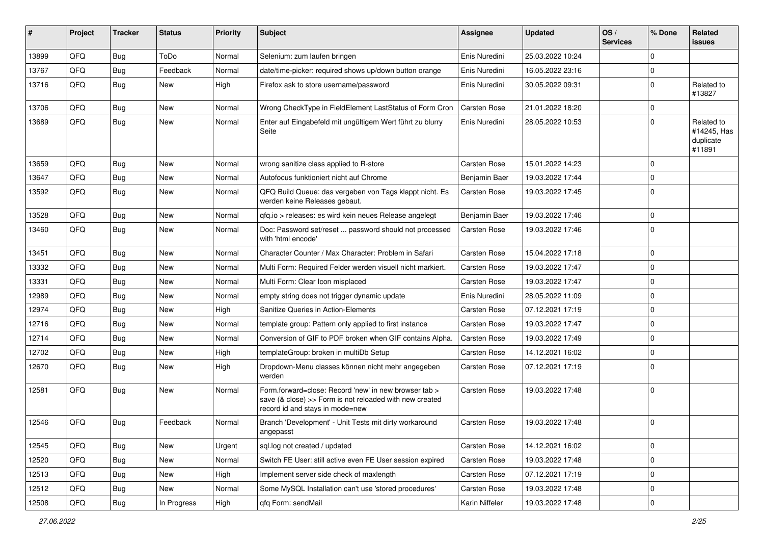| #     | Project | <b>Tracker</b> | <b>Status</b> | <b>Priority</b> | Subject                                                                                                                                             | <b>Assignee</b>     | <b>Updated</b>   | OS/<br><b>Services</b> | % Done      | Related<br><b>issues</b>                         |
|-------|---------|----------------|---------------|-----------------|-----------------------------------------------------------------------------------------------------------------------------------------------------|---------------------|------------------|------------------------|-------------|--------------------------------------------------|
| 13899 | QFQ     | <b>Bug</b>     | ToDo          | Normal          | Selenium: zum laufen bringen                                                                                                                        | Enis Nuredini       | 25.03.2022 10:24 |                        | $\Omega$    |                                                  |
| 13767 | QFQ     | <b>Bug</b>     | Feedback      | Normal          | date/time-picker: required shows up/down button orange                                                                                              | Enis Nuredini       | 16.05.2022 23:16 |                        | $\mathbf 0$ |                                                  |
| 13716 | QFQ     | Bug            | New           | High            | Firefox ask to store username/password                                                                                                              | Enis Nuredini       | 30.05.2022 09:31 |                        | $\mathbf 0$ | Related to<br>#13827                             |
| 13706 | QFQ     | <b>Bug</b>     | New           | Normal          | Wrong CheckType in FieldElement LastStatus of Form Cron                                                                                             | <b>Carsten Rose</b> | 21.01.2022 18:20 |                        | $\mathbf 0$ |                                                  |
| 13689 | QFQ     | Bug            | <b>New</b>    | Normal          | Enter auf Eingabefeld mit ungültigem Wert führt zu blurry<br>Seite                                                                                  | Enis Nuredini       | 28.05.2022 10:53 |                        | $\Omega$    | Related to<br>#14245, Has<br>duplicate<br>#11891 |
| 13659 | QFQ     | <b>Bug</b>     | <b>New</b>    | Normal          | wrong sanitize class applied to R-store                                                                                                             | <b>Carsten Rose</b> | 15.01.2022 14:23 |                        | $\mathbf 0$ |                                                  |
| 13647 | QFQ     | <b>Bug</b>     | <b>New</b>    | Normal          | Autofocus funktioniert nicht auf Chrome                                                                                                             | Benjamin Baer       | 19.03.2022 17:44 |                        | $\Omega$    |                                                  |
| 13592 | QFQ     | <b>Bug</b>     | <b>New</b>    | Normal          | QFQ Build Queue: das vergeben von Tags klappt nicht. Es<br>werden keine Releases gebaut.                                                            | <b>Carsten Rose</b> | 19.03.2022 17:45 |                        | $\mathbf 0$ |                                                  |
| 13528 | QFQ     | <b>Bug</b>     | New           | Normal          | qfq.io > releases: es wird kein neues Release angelegt                                                                                              | Benjamin Baer       | 19.03.2022 17:46 |                        | $\mathbf 0$ |                                                  |
| 13460 | QFQ     | <b>Bug</b>     | <b>New</b>    | Normal          | Doc: Password set/reset  password should not processed<br>with 'html encode'                                                                        | Carsten Rose        | 19.03.2022 17:46 |                        | $\Omega$    |                                                  |
| 13451 | QFQ     | <b>Bug</b>     | <b>New</b>    | Normal          | Character Counter / Max Character: Problem in Safari                                                                                                | <b>Carsten Rose</b> | 15.04.2022 17:18 |                        | $\mathbf 0$ |                                                  |
| 13332 | QFQ     | Bug            | <b>New</b>    | Normal          | Multi Form: Required Felder werden visuell nicht markiert.                                                                                          | Carsten Rose        | 19.03.2022 17:47 |                        | $\mathbf 0$ |                                                  |
| 13331 | QFQ     | <b>Bug</b>     | <b>New</b>    | Normal          | Multi Form: Clear Icon misplaced                                                                                                                    | Carsten Rose        | 19.03.2022 17:47 |                        | $\Omega$    |                                                  |
| 12989 | QFQ     | <b>Bug</b>     | <b>New</b>    | Normal          | empty string does not trigger dynamic update                                                                                                        | Enis Nuredini       | 28.05.2022 11:09 |                        | $\mathbf 0$ |                                                  |
| 12974 | QFQ     | <b>Bug</b>     | <b>New</b>    | High            | Sanitize Queries in Action-Elements                                                                                                                 | <b>Carsten Rose</b> | 07.12.2021 17:19 |                        | $\mathbf 0$ |                                                  |
| 12716 | QFQ     | <b>Bug</b>     | <b>New</b>    | Normal          | template group: Pattern only applied to first instance                                                                                              | Carsten Rose        | 19.03.2022 17:47 |                        | $\mathbf 0$ |                                                  |
| 12714 | QFQ     | <b>Bug</b>     | <b>New</b>    | Normal          | Conversion of GIF to PDF broken when GIF contains Alpha.                                                                                            | <b>Carsten Rose</b> | 19.03.2022 17:49 |                        | $\mathbf 0$ |                                                  |
| 12702 | QFQ     | <b>Bug</b>     | <b>New</b>    | High            | templateGroup: broken in multiDb Setup                                                                                                              | <b>Carsten Rose</b> | 14.12.2021 16:02 |                        | $\mathbf 0$ |                                                  |
| 12670 | QFQ     | <b>Bug</b>     | <b>New</b>    | High            | Dropdown-Menu classes können nicht mehr angegeben<br>werden                                                                                         | <b>Carsten Rose</b> | 07.12.2021 17:19 |                        | $\Omega$    |                                                  |
| 12581 | QFQ     | Bug            | <b>New</b>    | Normal          | Form forward=close: Record 'new' in new browser tab ><br>save (& close) >> Form is not reloaded with new created<br>record id and stays in mode=new | <b>Carsten Rose</b> | 19.03.2022 17:48 |                        | $\mathbf 0$ |                                                  |
| 12546 | QFQ     | Bug            | Feedback      | Normal          | Branch 'Development' - Unit Tests mit dirty workaround<br>angepasst                                                                                 | Carsten Rose        | 19.03.2022 17:48 |                        | $\mathbf 0$ |                                                  |
| 12545 | QFQ     | <b>Bug</b>     | New           | Urgent          | sql.log not created / updated                                                                                                                       | Carsten Rose        | 14.12.2021 16:02 |                        | $\mathbf 0$ |                                                  |
| 12520 | QFQ     | <b>Bug</b>     | New           | Normal          | Switch FE User: still active even FE User session expired                                                                                           | Carsten Rose        | 19.03.2022 17:48 |                        | $\mathbf 0$ |                                                  |
| 12513 | QFQ     | <b>Bug</b>     | New           | High            | Implement server side check of maxlength                                                                                                            | Carsten Rose        | 07.12.2021 17:19 |                        | 0           |                                                  |
| 12512 | QFQ     | <b>Bug</b>     | New           | Normal          | Some MySQL Installation can't use 'stored procedures'                                                                                               | Carsten Rose        | 19.03.2022 17:48 |                        | 0           |                                                  |
| 12508 | QFQ     | Bug            | In Progress   | High            | qfq Form: sendMail                                                                                                                                  | Karin Niffeler      | 19.03.2022 17:48 |                        | $\mathbf 0$ |                                                  |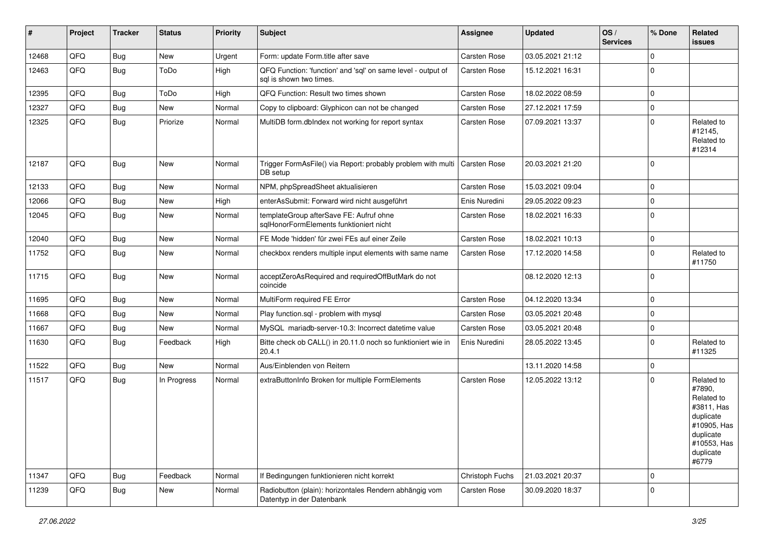| ∥ #   | Project | <b>Tracker</b> | <b>Status</b> | <b>Priority</b> | <b>Subject</b>                                                                          | Assignee            | <b>Updated</b>   | OS/<br><b>Services</b> | % Done      | Related<br>issues                                                                                                              |
|-------|---------|----------------|---------------|-----------------|-----------------------------------------------------------------------------------------|---------------------|------------------|------------------------|-------------|--------------------------------------------------------------------------------------------------------------------------------|
| 12468 | QFQ     | <b>Bug</b>     | New           | Urgent          | Form: update Form.title after save                                                      | <b>Carsten Rose</b> | 03.05.2021 21:12 |                        | $\mathbf 0$ |                                                                                                                                |
| 12463 | QFQ     | <b>Bug</b>     | ToDo          | High            | QFQ Function: 'function' and 'sql' on same level - output of<br>sql is shown two times. | Carsten Rose        | 15.12.2021 16:31 |                        | $\Omega$    |                                                                                                                                |
| 12395 | QFQ     | <b>Bug</b>     | ToDo          | High            | QFQ Function: Result two times shown                                                    | Carsten Rose        | 18.02.2022 08:59 |                        | $\mathbf 0$ |                                                                                                                                |
| 12327 | QFQ     | <b>Bug</b>     | New           | Normal          | Copy to clipboard: Glyphicon can not be changed                                         | Carsten Rose        | 27.12.2021 17:59 |                        | $\mathbf 0$ |                                                                                                                                |
| 12325 | QFQ     | <b>Bug</b>     | Priorize      | Normal          | MultiDB form.dblndex not working for report syntax                                      | Carsten Rose        | 07.09.2021 13:37 |                        | $\Omega$    | Related to<br>#12145,<br>Related to<br>#12314                                                                                  |
| 12187 | QFQ     | Bug            | New           | Normal          | Trigger FormAsFile() via Report: probably problem with multi<br>DB setup                | Carsten Rose        | 20.03.2021 21:20 |                        | $\mathbf 0$ |                                                                                                                                |
| 12133 | QFQ     | Bug            | <b>New</b>    | Normal          | NPM, phpSpreadSheet aktualisieren                                                       | <b>Carsten Rose</b> | 15.03.2021 09:04 |                        | $\mathbf 0$ |                                                                                                                                |
| 12066 | QFQ     | <b>Bug</b>     | New           | High            | enterAsSubmit: Forward wird nicht ausgeführt                                            | Enis Nuredini       | 29.05.2022 09:23 |                        | $\mathbf 0$ |                                                                                                                                |
| 12045 | QFQ     | <b>Bug</b>     | New           | Normal          | templateGroup afterSave FE: Aufruf ohne<br>sqlHonorFormElements funktioniert nicht      | Carsten Rose        | 18.02.2021 16:33 |                        | $\mathbf 0$ |                                                                                                                                |
| 12040 | QFQ     | <b>Bug</b>     | <b>New</b>    | Normal          | FE Mode 'hidden' für zwei FEs auf einer Zeile                                           | Carsten Rose        | 18.02.2021 10:13 |                        | $\mathbf 0$ |                                                                                                                                |
| 11752 | QFQ     | <b>Bug</b>     | <b>New</b>    | Normal          | checkbox renders multiple input elements with same name                                 | Carsten Rose        | 17.12.2020 14:58 |                        | $\mathbf 0$ | Related to<br>#11750                                                                                                           |
| 11715 | QFQ     | <b>Bug</b>     | <b>New</b>    | Normal          | acceptZeroAsRequired and requiredOffButMark do not<br>coincide                          |                     | 08.12.2020 12:13 |                        | $\Omega$    |                                                                                                                                |
| 11695 | QFQ     | <b>Bug</b>     | New           | Normal          | MultiForm required FE Error                                                             | Carsten Rose        | 04.12.2020 13:34 |                        | $\mathbf 0$ |                                                                                                                                |
| 11668 | QFQ     | <b>Bug</b>     | <b>New</b>    | Normal          | Play function.sql - problem with mysql                                                  | Carsten Rose        | 03.05.2021 20:48 |                        | $\Omega$    |                                                                                                                                |
| 11667 | QFQ     | <b>Bug</b>     | New           | Normal          | MySQL mariadb-server-10.3: Incorrect datetime value                                     | Carsten Rose        | 03.05.2021 20:48 |                        | $\mathbf 0$ |                                                                                                                                |
| 11630 | QFQ     | <b>Bug</b>     | Feedback      | High            | Bitte check ob CALL() in 20.11.0 noch so funktioniert wie in<br>20.4.1                  | Enis Nuredini       | 28.05.2022 13:45 |                        | $\mathbf 0$ | Related to<br>#11325                                                                                                           |
| 11522 | QFQ     | <b>Bug</b>     | New           | Normal          | Aus/Einblenden von Reitern                                                              |                     | 13.11.2020 14:58 |                        | $\mathbf 0$ |                                                                                                                                |
| 11517 | QFQ     | <b>Bug</b>     | In Progress   | Normal          | extraButtonInfo Broken for multiple FormElements                                        | <b>Carsten Rose</b> | 12.05.2022 13:12 |                        | $\Omega$    | Related to<br>#7890,<br>Related to<br>#3811, Has<br>duplicate<br>#10905, Has<br>duplicate<br>#10553, Has<br>duplicate<br>#6779 |
| 11347 | QFQ     | <b>Bug</b>     | Feedback      | Normal          | If Bedingungen funktionieren nicht korrekt                                              | Christoph Fuchs     | 21.03.2021 20:37 |                        | $\mathbf 0$ |                                                                                                                                |
| 11239 | QFQ     | <b>Bug</b>     | New           | Normal          | Radiobutton (plain): horizontales Rendern abhängig vom<br>Datentyp in der Datenbank     | Carsten Rose        | 30.09.2020 18:37 |                        | $\mathbf 0$ |                                                                                                                                |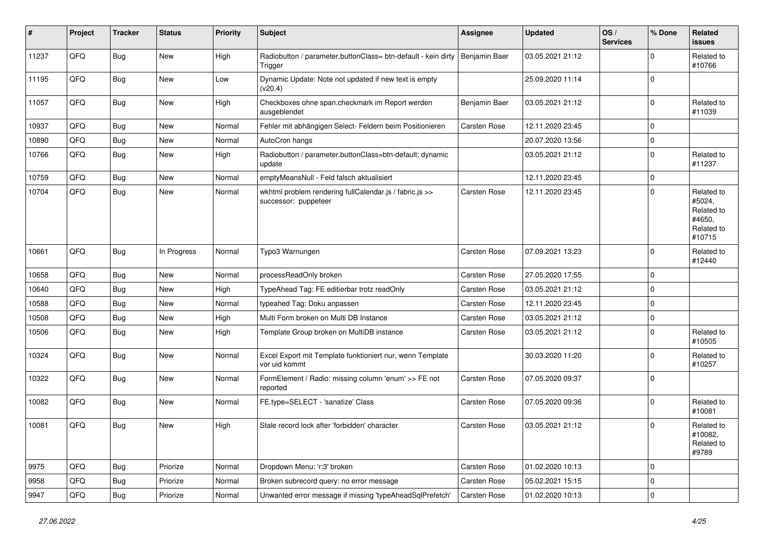| #     | Project | <b>Tracker</b> | <b>Status</b> | <b>Priority</b> | <b>Subject</b>                                                                  | <b>Assignee</b>     | <b>Updated</b>   | OS/<br><b>Services</b> | % Done      | Related<br><b>issues</b>                                             |
|-------|---------|----------------|---------------|-----------------|---------------------------------------------------------------------------------|---------------------|------------------|------------------------|-------------|----------------------------------------------------------------------|
| 11237 | QFQ     | <b>Bug</b>     | New           | High            | Radiobutton / parameter.buttonClass= btn-default - kein dirty<br>Trigger        | Benjamin Baer       | 03.05.2021 21:12 |                        | $\mathbf 0$ | Related to<br>#10766                                                 |
| 11195 | QFQ     | <b>Bug</b>     | New           | Low             | Dynamic Update: Note not updated if new text is empty<br>(v20.4)                |                     | 25.09.2020 11:14 |                        | $\mathbf 0$ |                                                                      |
| 11057 | QFQ     | <b>Bug</b>     | <b>New</b>    | High            | Checkboxes ohne span.checkmark im Report werden<br>ausgeblendet                 | Benjamin Baer       | 03.05.2021 21:12 |                        | $\mathbf 0$ | Related to<br>#11039                                                 |
| 10937 | QFQ     | <b>Bug</b>     | <b>New</b>    | Normal          | Fehler mit abhängigen Select- Feldern beim Positionieren                        | <b>Carsten Rose</b> | 12.11.2020 23:45 |                        | $\mathbf 0$ |                                                                      |
| 10890 | QFQ     | <b>Bug</b>     | New           | Normal          | AutoCron hangs                                                                  |                     | 20.07.2020 13:56 |                        | $\mathbf 0$ |                                                                      |
| 10766 | QFQ     | <b>Bug</b>     | New           | High            | Radiobutton / parameter.buttonClass=btn-default: dynamic<br>update              |                     | 03.05.2021 21:12 |                        | $\mathbf 0$ | Related to<br>#11237                                                 |
| 10759 | QFQ     | <b>Bug</b>     | <b>New</b>    | Normal          | emptyMeansNull - Feld falsch aktualisiert                                       |                     | 12.11.2020 23:45 |                        | $\mathbf 0$ |                                                                      |
| 10704 | QFQ     | <b>Bug</b>     | New           | Normal          | wkhtml problem rendering fullCalendar.js / fabric.js >><br>successor: puppeteer | Carsten Rose        | 12.11.2020 23:45 |                        | $\Omega$    | Related to<br>#5024,<br>Related to<br>#4650,<br>Related to<br>#10715 |
| 10661 | QFQ     | Bug            | In Progress   | Normal          | Typo3 Warnungen                                                                 | Carsten Rose        | 07.09.2021 13:23 |                        | $\mathbf 0$ | Related to<br>#12440                                                 |
| 10658 | QFQ     | <b>Bug</b>     | <b>New</b>    | Normal          | processReadOnly broken                                                          | <b>Carsten Rose</b> | 27.05.2020 17:55 |                        | 0           |                                                                      |
| 10640 | QFQ     | <b>Bug</b>     | <b>New</b>    | High            | TypeAhead Tag: FE editierbar trotz readOnly                                     | Carsten Rose        | 03.05.2021 21:12 |                        | $\mathbf 0$ |                                                                      |
| 10588 | QFQ     | <b>Bug</b>     | <b>New</b>    | Normal          | typeahed Tag: Doku anpassen                                                     | Carsten Rose        | 12.11.2020 23:45 |                        | $\mathbf 0$ |                                                                      |
| 10508 | QFQ     | <b>Bug</b>     | <b>New</b>    | High            | Multi Form broken on Multi DB Instance                                          | Carsten Rose        | 03.05.2021 21:12 |                        | $\mathbf 0$ |                                                                      |
| 10506 | QFQ     | <b>Bug</b>     | New           | High            | Template Group broken on MultiDB instance                                       | Carsten Rose        | 03.05.2021 21:12 |                        | $\mathbf 0$ | Related to<br>#10505                                                 |
| 10324 | QFQ     | <b>Bug</b>     | New           | Normal          | Excel Export mit Template funktioniert nur, wenn Template<br>vor uid kommt      |                     | 30.03.2020 11:20 |                        | $\Omega$    | Related to<br>#10257                                                 |
| 10322 | QFQ     | <b>Bug</b>     | New           | Normal          | FormElement / Radio: missing column 'enum' >> FE not<br>reported                | Carsten Rose        | 07.05.2020 09:37 |                        | $\mathbf 0$ |                                                                      |
| 10082 | QFQ     | <b>Bug</b>     | New           | Normal          | FE.type=SELECT - 'sanatize' Class                                               | Carsten Rose        | 07.05.2020 09:36 |                        | $\Omega$    | Related to<br>#10081                                                 |
| 10081 | QFQ     | <b>Bug</b>     | New           | High            | Stale record lock after 'forbidden' character                                   | Carsten Rose        | 03.05.2021 21:12 |                        | $\mathbf 0$ | Related to<br>#10082,<br>Related to<br>#9789                         |
| 9975  | QFQ     | <b>Bug</b>     | Priorize      | Normal          | Dropdown Menu: 'r:3' broken                                                     | Carsten Rose        | 01.02.2020 10:13 |                        | $\mathbf 0$ |                                                                      |
| 9958  | QFQ     | <b>Bug</b>     | Priorize      | Normal          | Broken subrecord query: no error message                                        | Carsten Rose        | 05.02.2021 15:15 |                        | $\mathbf 0$ |                                                                      |
| 9947  | QFQ     | Bug            | Priorize      | Normal          | Unwanted error message if missing 'typeAheadSqlPrefetch'                        | Carsten Rose        | 01.02.2020 10:13 |                        | 0           |                                                                      |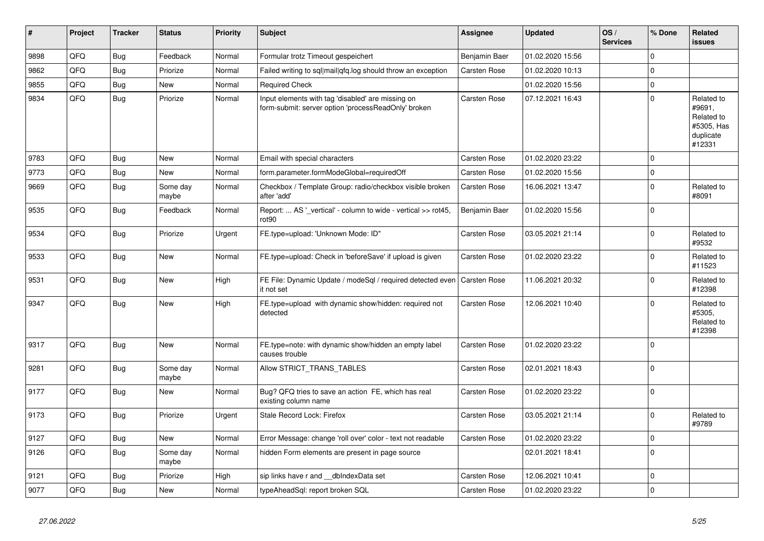| #    | Project | <b>Tracker</b> | <b>Status</b>     | <b>Priority</b> | <b>Subject</b>                                                                                           | <b>Assignee</b>     | <b>Updated</b>   | OS/<br><b>Services</b> | % Done         | Related<br><b>issues</b>                                                |
|------|---------|----------------|-------------------|-----------------|----------------------------------------------------------------------------------------------------------|---------------------|------------------|------------------------|----------------|-------------------------------------------------------------------------|
| 9898 | QFQ     | <b>Bug</b>     | Feedback          | Normal          | Formular trotz Timeout gespeichert                                                                       | Benjamin Baer       | 01.02.2020 15:56 |                        | 0              |                                                                         |
| 9862 | QFQ     | <b>Bug</b>     | Priorize          | Normal          | Failed writing to sql mail qfq.log should throw an exception                                             | Carsten Rose        | 01.02.2020 10:13 |                        | $\Omega$       |                                                                         |
| 9855 | QFQ     | <b>Bug</b>     | <b>New</b>        | Normal          | <b>Required Check</b>                                                                                    |                     | 01.02.2020 15:56 |                        | 0              |                                                                         |
| 9834 | QFQ     | <b>Bug</b>     | Priorize          | Normal          | Input elements with tag 'disabled' are missing on<br>form-submit: server option 'processReadOnly' broken | Carsten Rose        | 07.12.2021 16:43 |                        | $\Omega$       | Related to<br>#9691,<br>Related to<br>#5305, Has<br>duplicate<br>#12331 |
| 9783 | QFQ     | <b>Bug</b>     | <b>New</b>        | Normal          | Email with special characters                                                                            | Carsten Rose        | 01.02.2020 23:22 |                        | $\Omega$       |                                                                         |
| 9773 | QFQ     | <b>Bug</b>     | <b>New</b>        | Normal          | form.parameter.formModeGlobal=requiredOff                                                                | Carsten Rose        | 01.02.2020 15:56 |                        | $\mathbf 0$    |                                                                         |
| 9669 | QFQ     | <b>Bug</b>     | Some day<br>maybe | Normal          | Checkbox / Template Group: radio/checkbox visible broken<br>after 'add'                                  | Carsten Rose        | 16.06.2021 13:47 |                        | $\Omega$       | Related to<br>#8091                                                     |
| 9535 | QFQ     | <b>Bug</b>     | Feedback          | Normal          | Report:  AS '_vertical' - column to wide - vertical >> rot45,<br>rot90                                   | Benjamin Baer       | 01.02.2020 15:56 |                        | $\Omega$       |                                                                         |
| 9534 | QFQ     | <b>Bug</b>     | Priorize          | Urgent          | FE.type=upload: 'Unknown Mode: ID"                                                                       | Carsten Rose        | 03.05.2021 21:14 |                        | 0              | Related to<br>#9532                                                     |
| 9533 | QFQ     | <b>Bug</b>     | New               | Normal          | FE.type=upload: Check in 'beforeSave' if upload is given                                                 | Carsten Rose        | 01.02.2020 23:22 |                        | $\Omega$       | Related to<br>#11523                                                    |
| 9531 | QFQ     | <b>Bug</b>     | New               | High            | FE File: Dynamic Update / modeSql / required detected even<br>it not set                                 | Carsten Rose        | 11.06.2021 20:32 |                        | $\overline{0}$ | Related to<br>#12398                                                    |
| 9347 | QFQ     | <b>Bug</b>     | <b>New</b>        | High            | FE.type=upload with dynamic show/hidden: required not<br>detected                                        | Carsten Rose        | 12.06.2021 10:40 |                        | $\Omega$       | Related to<br>#5305,<br>Related to<br>#12398                            |
| 9317 | QFQ     | <b>Bug</b>     | <b>New</b>        | Normal          | FE.type=note: with dynamic show/hidden an empty label<br>causes trouble                                  | Carsten Rose        | 01.02.2020 23:22 |                        | $\Omega$       |                                                                         |
| 9281 | QFQ     | <b>Bug</b>     | Some day<br>maybe | Normal          | Allow STRICT TRANS TABLES                                                                                | <b>Carsten Rose</b> | 02.01.2021 18:43 |                        | $\Omega$       |                                                                         |
| 9177 | QFQ     | <b>Bug</b>     | <b>New</b>        | Normal          | Bug? QFQ tries to save an action FE, which has real<br>existing column name                              | Carsten Rose        | 01.02.2020 23:22 |                        | $\Omega$       |                                                                         |
| 9173 | QFQ     | <b>Bug</b>     | Priorize          | Urgent          | Stale Record Lock: Firefox                                                                               | Carsten Rose        | 03.05.2021 21:14 |                        | $\mathbf 0$    | Related to<br>#9789                                                     |
| 9127 | QFQ     | Bug            | New               | Normal          | Error Message: change 'roll over' color - text not readable                                              | <b>Carsten Rose</b> | 01.02.2020 23:22 |                        | 0              |                                                                         |
| 9126 | QFQ     | <b>Bug</b>     | Some day<br>maybe | Normal          | hidden Form elements are present in page source                                                          |                     | 02.01.2021 18:41 |                        | $\mathbf 0$    |                                                                         |
| 9121 | QFQ     | Bug            | Priorize          | High            | sip links have r and dblndexData set                                                                     | <b>Carsten Rose</b> | 12.06.2021 10:41 |                        | $\overline{0}$ |                                                                         |
| 9077 | QFQ     | Bug            | <b>New</b>        | Normal          | typeAheadSql: report broken SQL                                                                          | Carsten Rose        | 01.02.2020 23:22 |                        | $\overline{0}$ |                                                                         |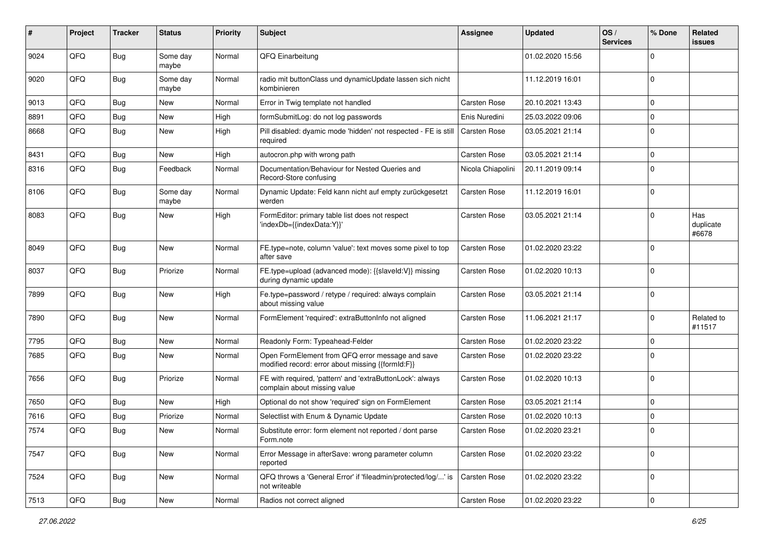| #    | Project | <b>Tracker</b> | <b>Status</b>     | <b>Priority</b> | Subject                                                                                               | <b>Assignee</b>     | <b>Updated</b>   | OS/<br><b>Services</b> | % Done      | Related<br><b>issues</b>  |
|------|---------|----------------|-------------------|-----------------|-------------------------------------------------------------------------------------------------------|---------------------|------------------|------------------------|-------------|---------------------------|
| 9024 | QFQ     | Bug            | Some day<br>maybe | Normal          | QFQ Einarbeitung                                                                                      |                     | 01.02.2020 15:56 |                        | $\Omega$    |                           |
| 9020 | QFQ     | <b>Bug</b>     | Some day<br>maybe | Normal          | radio mit buttonClass und dynamicUpdate lassen sich nicht<br>kombinieren                              |                     | 11.12.2019 16:01 |                        | $\mathbf 0$ |                           |
| 9013 | QFQ     | <b>Bug</b>     | New               | Normal          | Error in Twig template not handled                                                                    | Carsten Rose        | 20.10.2021 13:43 |                        | $\Omega$    |                           |
| 8891 | QFQ     | <b>Bug</b>     | <b>New</b>        | High            | formSubmitLog: do not log passwords                                                                   | Enis Nuredini       | 25.03.2022 09:06 |                        | $\mathbf 0$ |                           |
| 8668 | QFQ     | Bug            | New               | High            | Pill disabled: dyamic mode 'hidden' not respected - FE is still<br>required                           | <b>Carsten Rose</b> | 03.05.2021 21:14 |                        | $\mathbf 0$ |                           |
| 8431 | QFQ     | <b>Bug</b>     | <b>New</b>        | High            | autocron.php with wrong path                                                                          | Carsten Rose        | 03.05.2021 21:14 |                        | $\mathbf 0$ |                           |
| 8316 | QFQ     | <b>Bug</b>     | Feedback          | Normal          | Documentation/Behaviour for Nested Queries and<br>Record-Store confusing                              | Nicola Chiapolini   | 20.11.2019 09:14 |                        | $\Omega$    |                           |
| 8106 | QFQ     | <b>Bug</b>     | Some day<br>maybe | Normal          | Dynamic Update: Feld kann nicht auf empty zurückgesetzt<br>werden                                     | Carsten Rose        | 11.12.2019 16:01 |                        | $\mathbf 0$ |                           |
| 8083 | QFQ     | <b>Bug</b>     | New               | High            | FormEditor: primary table list does not respect<br>'indexDb={{indexData:Y}}'                          | Carsten Rose        | 03.05.2021 21:14 |                        | $\mathbf 0$ | Has<br>duplicate<br>#6678 |
| 8049 | QFQ     | <b>Bug</b>     | <b>New</b>        | Normal          | FE.type=note, column 'value': text moves some pixel to top<br>after save                              | Carsten Rose        | 01.02.2020 23:22 |                        | $\Omega$    |                           |
| 8037 | QFQ     | Bug            | Priorize          | Normal          | FE.type=upload (advanced mode): {{slaveld:V}} missing<br>during dynamic update                        | Carsten Rose        | 01.02.2020 10:13 |                        | $\Omega$    |                           |
| 7899 | QFQ     | <b>Bug</b>     | <b>New</b>        | High            | Fe.type=password / retype / required: always complain<br>about missing value                          | Carsten Rose        | 03.05.2021 21:14 |                        | $\mathbf 0$ |                           |
| 7890 | QFQ     | <b>Bug</b>     | <b>New</b>        | Normal          | FormElement 'required': extraButtonInfo not aligned                                                   | Carsten Rose        | 11.06.2021 21:17 |                        | $\mathbf 0$ | Related to<br>#11517      |
| 7795 | QFQ     | <b>Bug</b>     | <b>New</b>        | Normal          | Readonly Form: Typeahead-Felder                                                                       | Carsten Rose        | 01.02.2020 23:22 |                        | $\Omega$    |                           |
| 7685 | QFQ     | <b>Bug</b>     | <b>New</b>        | Normal          | Open FormElement from QFQ error message and save<br>modified record: error about missing {{formId:F}} | Carsten Rose        | 01.02.2020 23:22 |                        | $\Omega$    |                           |
| 7656 | QFQ     | <b>Bug</b>     | Priorize          | Normal          | FE with required, 'pattern' and 'extraButtonLock': always<br>complain about missing value             | Carsten Rose        | 01.02.2020 10:13 |                        | $\mathbf 0$ |                           |
| 7650 | QFQ     | <b>Bug</b>     | <b>New</b>        | High            | Optional do not show 'required' sign on FormElement                                                   | Carsten Rose        | 03.05.2021 21:14 |                        | $\Omega$    |                           |
| 7616 | QFQ     | <b>Bug</b>     | Priorize          | Normal          | Selectlist with Enum & Dynamic Update                                                                 | Carsten Rose        | 01.02.2020 10:13 |                        | $\Omega$    |                           |
| 7574 | QFQ     | Bug            | New               | Normal          | Substitute error: form element not reported / dont parse<br>Form.note                                 | Carsten Rose        | 01.02.2020 23:21 |                        | $\Omega$    |                           |
| 7547 | QFQ     | <b>Bug</b>     | New               | Normal          | Error Message in afterSave: wrong parameter column<br>reported                                        | Carsten Rose        | 01.02.2020 23:22 |                        | 0           |                           |
| 7524 | QFQ     | <b>Bug</b>     | New               | Normal          | QFQ throws a 'General Error' if 'fileadmin/protected/log/' is<br>not writeable                        | Carsten Rose        | 01.02.2020 23:22 |                        | $\mathbf 0$ |                           |
| 7513 | QFQ     | Bug            | New               | Normal          | Radios not correct aligned                                                                            | Carsten Rose        | 01.02.2020 23:22 |                        | $\mathbf 0$ |                           |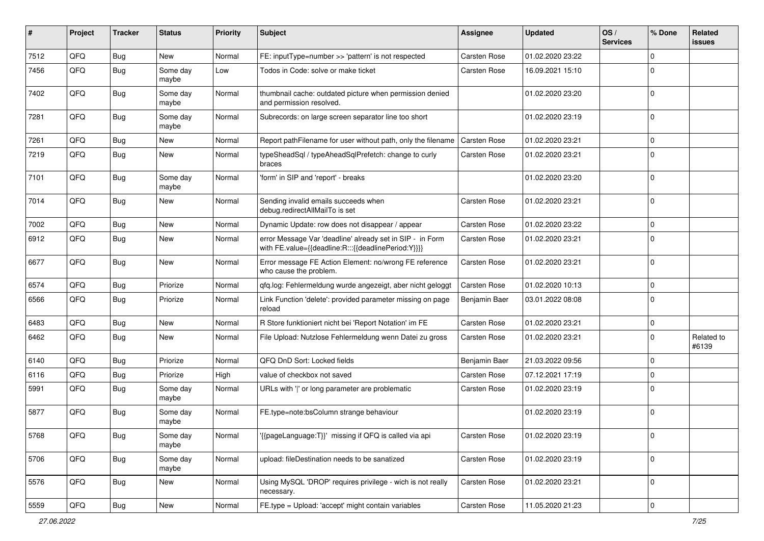| ∦    | Project | <b>Tracker</b> | <b>Status</b>     | <b>Priority</b> | <b>Subject</b>                                                                                                   | Assignee            | <b>Updated</b>   | OS/<br><b>Services</b> | % Done      | Related<br><b>issues</b> |
|------|---------|----------------|-------------------|-----------------|------------------------------------------------------------------------------------------------------------------|---------------------|------------------|------------------------|-------------|--------------------------|
| 7512 | QFQ     | <b>Bug</b>     | <b>New</b>        | Normal          | FE: inputType=number >> 'pattern' is not respected                                                               | Carsten Rose        | 01.02.2020 23:22 |                        | $\mathbf 0$ |                          |
| 7456 | QFQ     | <b>Bug</b>     | Some day<br>maybe | Low             | Todos in Code: solve or make ticket                                                                              | Carsten Rose        | 16.09.2021 15:10 |                        | $\mathbf 0$ |                          |
| 7402 | QFQ     | Bug            | Some day<br>maybe | Normal          | thumbnail cache: outdated picture when permission denied<br>and permission resolved.                             |                     | 01.02.2020 23:20 |                        | $\mathbf 0$ |                          |
| 7281 | QFQ     | Bug            | Some day<br>maybe | Normal          | Subrecords: on large screen separator line too short                                                             |                     | 01.02.2020 23:19 |                        | 0           |                          |
| 7261 | QFQ     | Bug            | <b>New</b>        | Normal          | Report pathFilename for user without path, only the filename                                                     | <b>Carsten Rose</b> | 01.02.2020 23:21 |                        | $\mathbf 0$ |                          |
| 7219 | QFQ     | <b>Bug</b>     | New               | Normal          | typeSheadSql / typeAheadSqlPrefetch: change to curly<br>braces                                                   | Carsten Rose        | 01.02.2020 23:21 |                        | $\mathbf 0$ |                          |
| 7101 | QFQ     | Bug            | Some day<br>maybe | Normal          | 'form' in SIP and 'report' - breaks                                                                              |                     | 01.02.2020 23:20 |                        | $\mathbf 0$ |                          |
| 7014 | QFQ     | <b>Bug</b>     | <b>New</b>        | Normal          | Sending invalid emails succeeds when<br>debug.redirectAllMailTo is set                                           | Carsten Rose        | 01.02.2020 23:21 |                        | $\mathbf 0$ |                          |
| 7002 | QFQ     | <b>Bug</b>     | New               | Normal          | Dynamic Update: row does not disappear / appear                                                                  | <b>Carsten Rose</b> | 01.02.2020 23:22 |                        | $\mathbf 0$ |                          |
| 6912 | QFQ     | Bug            | <b>New</b>        | Normal          | error Message Var 'deadline' already set in SIP - in Form<br>with FE.value={{deadline:R:::{{deadlinePeriod:Y}}}} | Carsten Rose        | 01.02.2020 23:21 |                        | $\Omega$    |                          |
| 6677 | QFQ     | <b>Bug</b>     | New               | Normal          | Error message FE Action Element: no/wrong FE reference<br>who cause the problem.                                 | Carsten Rose        | 01.02.2020 23:21 |                        | 0           |                          |
| 6574 | QFQ     | Bug            | Priorize          | Normal          | qfq.log: Fehlermeldung wurde angezeigt, aber nicht geloggt                                                       | Carsten Rose        | 01.02.2020 10:13 |                        | $\mathbf 0$ |                          |
| 6566 | QFQ     | <b>Bug</b>     | Priorize          | Normal          | Link Function 'delete': provided parameter missing on page<br>reload                                             | Benjamin Baer       | 03.01.2022 08:08 |                        | $\mathbf 0$ |                          |
| 6483 | QFQ     | <b>Bug</b>     | <b>New</b>        | Normal          | R Store funktioniert nicht bei 'Report Notation' im FE                                                           | Carsten Rose        | 01.02.2020 23:21 |                        | $\mathbf 0$ |                          |
| 6462 | QFQ     | <b>Bug</b>     | <b>New</b>        | Normal          | File Upload: Nutzlose Fehlermeldung wenn Datei zu gross                                                          | Carsten Rose        | 01.02.2020 23:21 |                        | $\mathbf 0$ | Related to<br>#6139      |
| 6140 | QFQ     | Bug            | Priorize          | Normal          | QFQ DnD Sort: Locked fields                                                                                      | Benjamin Baer       | 21.03.2022 09:56 |                        | $\mathbf 0$ |                          |
| 6116 | QFQ     | <b>Bug</b>     | Priorize          | High            | value of checkbox not saved                                                                                      | Carsten Rose        | 07.12.2021 17:19 |                        | $\mathbf 0$ |                          |
| 5991 | QFQ     | <b>Bug</b>     | Some day<br>maybe | Normal          | URLs with ' ' or long parameter are problematic                                                                  | Carsten Rose        | 01.02.2020 23:19 |                        | $\Omega$    |                          |
| 5877 | QFQ     | Bug            | Some day<br>maybe | Normal          | FE.type=note:bsColumn strange behaviour                                                                          |                     | 01.02.2020 23:19 |                        | $\mathbf 0$ |                          |
| 5768 | QFQ     | <b>Bug</b>     | Some day<br>maybe | Normal          | '{{pageLanguage:T}}' missing if QFQ is called via api                                                            | Carsten Rose        | 01.02.2020 23:19 |                        | 0           |                          |
| 5706 | QFQ     | <b>Bug</b>     | Some day<br>maybe | Normal          | upload: fileDestination needs to be sanatized                                                                    | Carsten Rose        | 01.02.2020 23:19 |                        | 0           |                          |
| 5576 | QFQ     | <b>Bug</b>     | New               | Normal          | Using MySQL 'DROP' requires privilege - wich is not really<br>necessary.                                         | Carsten Rose        | 01.02.2020 23:21 |                        | 0           |                          |
| 5559 | QFQ     | <b>Bug</b>     | New               | Normal          | FE.type = Upload: 'accept' might contain variables                                                               | Carsten Rose        | 11.05.2020 21:23 |                        | $\mathbf 0$ |                          |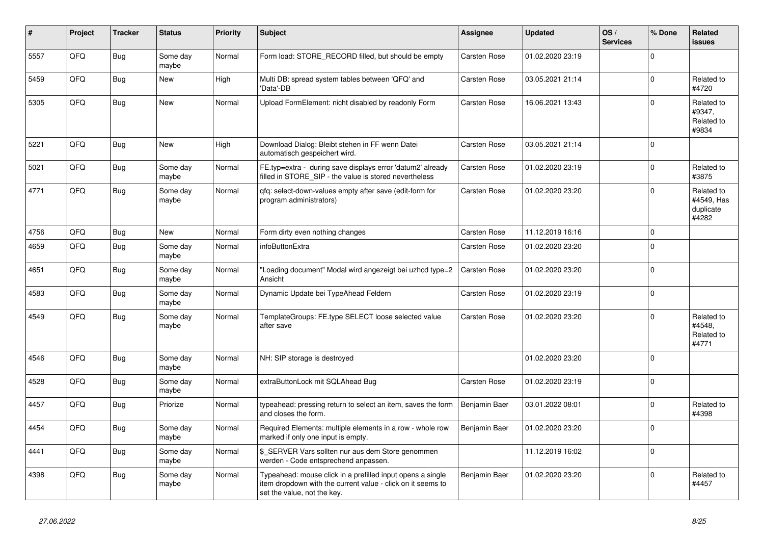| #    | Project | <b>Tracker</b> | <b>Status</b>     | <b>Priority</b> | <b>Subject</b>                                                                                                                                           | Assignee            | <b>Updated</b>   | OS/<br><b>Services</b> | % Done      | Related<br>issues                              |
|------|---------|----------------|-------------------|-----------------|----------------------------------------------------------------------------------------------------------------------------------------------------------|---------------------|------------------|------------------------|-------------|------------------------------------------------|
| 5557 | QFQ     | <b>Bug</b>     | Some day<br>maybe | Normal          | Form load: STORE_RECORD filled, but should be empty                                                                                                      | Carsten Rose        | 01.02.2020 23:19 |                        | $\Omega$    |                                                |
| 5459 | QFQ     | <b>Bug</b>     | <b>New</b>        | High            | Multi DB: spread system tables between 'QFQ' and<br>'Data'-DB                                                                                            | Carsten Rose        | 03.05.2021 21:14 |                        | $\mathbf 0$ | Related to<br>#4720                            |
| 5305 | QFQ     | <b>Bug</b>     | New               | Normal          | Upload FormElement: nicht disabled by readonly Form                                                                                                      | Carsten Rose        | 16.06.2021 13:43 |                        | $\Omega$    | Related to<br>#9347,<br>Related to<br>#9834    |
| 5221 | QFQ     | Bug            | New               | High            | Download Dialog: Bleibt stehen in FF wenn Datei<br>automatisch gespeichert wird.                                                                         | <b>Carsten Rose</b> | 03.05.2021 21:14 |                        | $\mathbf 0$ |                                                |
| 5021 | QFQ     | Bug            | Some day<br>maybe | Normal          | FE.typ=extra - during save displays error 'datum2' already<br>filled in STORE SIP - the value is stored nevertheless                                     | Carsten Rose        | 01.02.2020 23:19 |                        | $\Omega$    | Related to<br>#3875                            |
| 4771 | QFQ     | <b>Bug</b>     | Some day<br>maybe | Normal          | gfg: select-down-values empty after save (edit-form for<br>program administrators)                                                                       | <b>Carsten Rose</b> | 01.02.2020 23:20 |                        | $\Omega$    | Related to<br>#4549, Has<br>duplicate<br>#4282 |
| 4756 | QFQ     | <b>Bug</b>     | <b>New</b>        | Normal          | Form dirty even nothing changes                                                                                                                          | <b>Carsten Rose</b> | 11.12.2019 16:16 |                        | $\mathbf 0$ |                                                |
| 4659 | QFQ     | Bug            | Some day<br>maybe | Normal          | infoButtonExtra                                                                                                                                          | Carsten Rose        | 01.02.2020 23:20 |                        | $\mathbf 0$ |                                                |
| 4651 | QFQ     | <b>Bug</b>     | Some day<br>maybe | Normal          | "Loading document" Modal wird angezeigt bei uzhcd type=2<br>Ansicht                                                                                      | Carsten Rose        | 01.02.2020 23:20 |                        | $\mathbf 0$ |                                                |
| 4583 | QFQ     | <b>Bug</b>     | Some day<br>maybe | Normal          | Dynamic Update bei TypeAhead Feldern                                                                                                                     | Carsten Rose        | 01.02.2020 23:19 |                        | $\mathbf 0$ |                                                |
| 4549 | QFQ     | Bug            | Some day<br>maybe | Normal          | TemplateGroups: FE.type SELECT loose selected value<br>after save                                                                                        | <b>Carsten Rose</b> | 01.02.2020 23:20 |                        | $\Omega$    | Related to<br>#4548.<br>Related to<br>#4771    |
| 4546 | QFQ     | <b>Bug</b>     | Some day<br>maybe | Normal          | NH: SIP storage is destroyed                                                                                                                             |                     | 01.02.2020 23:20 |                        | $\mathbf 0$ |                                                |
| 4528 | QFQ     | Bug            | Some day<br>maybe | Normal          | extraButtonLock mit SQLAhead Bug                                                                                                                         | Carsten Rose        | 01.02.2020 23:19 |                        | $\mathbf 0$ |                                                |
| 4457 | QFQ     | <b>Bug</b>     | Priorize          | Normal          | typeahead: pressing return to select an item, saves the form<br>and closes the form.                                                                     | Benjamin Baer       | 03.01.2022 08:01 |                        | $\mathbf 0$ | Related to<br>#4398                            |
| 4454 | QFQ     | Bug            | Some day<br>maybe | Normal          | Required Elements: multiple elements in a row - whole row<br>marked if only one input is empty.                                                          | Benjamin Baer       | 01.02.2020 23:20 |                        | $\mathbf 0$ |                                                |
| 4441 | QFQ     | <b>Bug</b>     | Some day<br>maybe | Normal          | \$ SERVER Vars sollten nur aus dem Store genommen<br>werden - Code entsprechend anpassen.                                                                |                     | 11.12.2019 16:02 |                        | $\Omega$    |                                                |
| 4398 | QFQ     | Bug            | Some day<br>maybe | Normal          | Typeahead: mouse click in a prefilled input opens a single<br>item dropdown with the current value - click on it seems to<br>set the value, not the key. | Benjamin Baer       | 01.02.2020 23:20 |                        | $\Omega$    | Related to<br>#4457                            |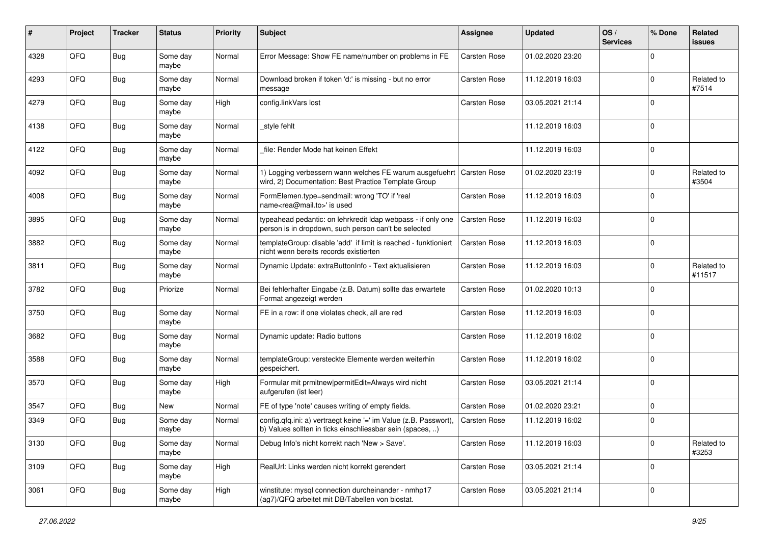| #    | Project | <b>Tracker</b> | <b>Status</b>     | <b>Priority</b> | <b>Subject</b>                                                                                                                 | <b>Assignee</b>     | <b>Updated</b>   | OS/<br><b>Services</b> | % Done      | Related<br><b>issues</b> |
|------|---------|----------------|-------------------|-----------------|--------------------------------------------------------------------------------------------------------------------------------|---------------------|------------------|------------------------|-------------|--------------------------|
| 4328 | QFQ     | <b>Bug</b>     | Some day<br>maybe | Normal          | Error Message: Show FE name/number on problems in FE                                                                           | <b>Carsten Rose</b> | 01.02.2020 23:20 |                        | $\Omega$    |                          |
| 4293 | QFQ     | <b>Bug</b>     | Some day<br>maybe | Normal          | Download broken if token 'd:' is missing - but no error<br>message                                                             | <b>Carsten Rose</b> | 11.12.2019 16:03 |                        | $\mathbf 0$ | Related to<br>#7514      |
| 4279 | QFQ     | <b>Bug</b>     | Some day<br>maybe | High            | config.linkVars lost                                                                                                           | <b>Carsten Rose</b> | 03.05.2021 21:14 |                        | $\mathbf 0$ |                          |
| 4138 | QFQ     | <b>Bug</b>     | Some day<br>maybe | Normal          | style fehlt                                                                                                                    |                     | 11.12.2019 16:03 |                        | $\mathbf 0$ |                          |
| 4122 | QFQ     | <b>Bug</b>     | Some day<br>maybe | Normal          | file: Render Mode hat keinen Effekt                                                                                            |                     | 11.12.2019 16:03 |                        | $\mathbf 0$ |                          |
| 4092 | QFQ     | <b>Bug</b>     | Some day<br>maybe | Normal          | 1) Logging verbessern wann welches FE warum ausgefuehrt   Carsten Rose<br>wird, 2) Documentation: Best Practice Template Group |                     | 01.02.2020 23:19 |                        | $\mathbf 0$ | Related to<br>#3504      |
| 4008 | QFQ     | <b>Bug</b>     | Some day<br>maybe | Normal          | FormElemen.type=sendmail: wrong 'TO' if 'real<br>name <rea@mail.to>' is used</rea@mail.to>                                     | Carsten Rose        | 11.12.2019 16:03 |                        | $\Omega$    |                          |
| 3895 | QFQ     | Bug            | Some day<br>maybe | Normal          | typeahead pedantic: on lehrkredit Idap webpass - if only one<br>person is in dropdown, such person can't be selected           | <b>Carsten Rose</b> | 11.12.2019 16:03 |                        | $\mathbf 0$ |                          |
| 3882 | QFQ     | <b>Bug</b>     | Some day<br>maybe | Normal          | templateGroup: disable 'add' if limit is reached - funktioniert<br>nicht wenn bereits records existierten                      | <b>Carsten Rose</b> | 11.12.2019 16:03 |                        | 0           |                          |
| 3811 | QFQ     | Bug            | Some day<br>maybe | Normal          | Dynamic Update: extraButtonInfo - Text aktualisieren                                                                           | <b>Carsten Rose</b> | 11.12.2019 16:03 |                        | $\mathbf 0$ | Related to<br>#11517     |
| 3782 | QFQ     | <b>Bug</b>     | Priorize          | Normal          | Bei fehlerhafter Eingabe (z.B. Datum) sollte das erwartete<br>Format angezeigt werden                                          | Carsten Rose        | 01.02.2020 10:13 |                        | $\mathbf 0$ |                          |
| 3750 | QFQ     | <b>Bug</b>     | Some day<br>maybe | Normal          | FE in a row: if one violates check, all are red                                                                                | <b>Carsten Rose</b> | 11.12.2019 16:03 |                        | $\mathbf 0$ |                          |
| 3682 | QFQ     | Bug            | Some day<br>maybe | Normal          | Dynamic update: Radio buttons                                                                                                  | <b>Carsten Rose</b> | 11.12.2019 16:02 |                        | $\mathbf 0$ |                          |
| 3588 | QFQ     | <b>Bug</b>     | Some day<br>maybe | Normal          | templateGroup: versteckte Elemente werden weiterhin<br>gespeichert.                                                            | <b>Carsten Rose</b> | 11.12.2019 16:02 |                        | $\Omega$    |                          |
| 3570 | QFQ     | <b>Bug</b>     | Some day<br>maybe | High            | Formular mit prmitnew permitEdit=Always wird nicht<br>aufgerufen (ist leer)                                                    | Carsten Rose        | 03.05.2021 21:14 |                        | $\mathbf 0$ |                          |
| 3547 | QFQ     | <b>Bug</b>     | <b>New</b>        | Normal          | FE of type 'note' causes writing of empty fields.                                                                              | <b>Carsten Rose</b> | 01.02.2020 23:21 |                        | 0           |                          |
| 3349 | QFQ     | <b>Bug</b>     | Some day<br>maybe | Normal          | config.qfq.ini: a) vertraegt keine '=' im Value (z.B. Passwort),<br>b) Values sollten in ticks einschliessbar sein (spaces, )  | Carsten Rose        | 11.12.2019 16:02 |                        | $\mathbf 0$ |                          |
| 3130 | QFQ     | <b>Bug</b>     | Some day<br>maybe | Normal          | Debug Info's nicht korrekt nach 'New > Save'.                                                                                  | Carsten Rose        | 11.12.2019 16:03 |                        | $\mathbf 0$ | Related to<br>#3253      |
| 3109 | QFQ     | Bug            | Some day<br>maybe | High            | RealUrl: Links werden nicht korrekt gerendert                                                                                  | Carsten Rose        | 03.05.2021 21:14 |                        | 0           |                          |
| 3061 | QFQ     | Bug            | Some day<br>maybe | High            | winstitute: mysql connection durcheinander - nmhp17<br>(ag7)/QFQ arbeitet mit DB/Tabellen von biostat.                         | Carsten Rose        | 03.05.2021 21:14 |                        | 0           |                          |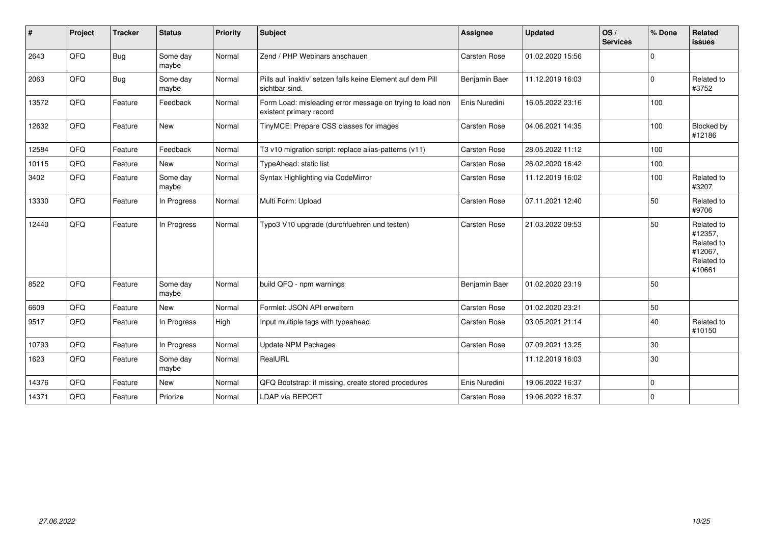| #     | Project | <b>Tracker</b> | <b>Status</b>     | <b>Priority</b> | <b>Subject</b>                                                                       | <b>Assignee</b>     | <b>Updated</b>   | OS/<br><b>Services</b> | % Done      | Related<br><b>issues</b>                                               |
|-------|---------|----------------|-------------------|-----------------|--------------------------------------------------------------------------------------|---------------------|------------------|------------------------|-------------|------------------------------------------------------------------------|
| 2643  | QFQ     | <b>Bug</b>     | Some day<br>maybe | Normal          | Zend / PHP Webinars anschauen                                                        | Carsten Rose        | 01.02.2020 15:56 |                        | $\Omega$    |                                                                        |
| 2063  | QFQ     | <b>Bug</b>     | Some day<br>maybe | Normal          | Pills auf 'inaktiv' setzen falls keine Element auf dem Pill<br>sichtbar sind.        | Benjamin Baer       | 11.12.2019 16:03 |                        | $\mathbf 0$ | Related to<br>#3752                                                    |
| 13572 | QFQ     | Feature        | Feedback          | Normal          | Form Load: misleading error message on trying to load non<br>existent primary record | Enis Nuredini       | 16.05.2022 23:16 |                        | 100         |                                                                        |
| 12632 | QFQ     | Feature        | <b>New</b>        | Normal          | TinyMCE: Prepare CSS classes for images                                              | <b>Carsten Rose</b> | 04.06.2021 14:35 |                        | 100         | Blocked by<br>#12186                                                   |
| 12584 | QFQ     | Feature        | Feedback          | Normal          | T3 v10 migration script: replace alias-patterns (v11)                                | <b>Carsten Rose</b> | 28.05.2022 11:12 |                        | 100         |                                                                        |
| 10115 | QFQ     | Feature        | <b>New</b>        | Normal          | TypeAhead: static list                                                               | <b>Carsten Rose</b> | 26.02.2020 16:42 |                        | 100         |                                                                        |
| 3402  | QFQ     | Feature        | Some day<br>maybe | Normal          | Syntax Highlighting via CodeMirror                                                   | Carsten Rose        | 11.12.2019 16:02 |                        | 100         | Related to<br>#3207                                                    |
| 13330 | QFQ     | Feature        | In Progress       | Normal          | Multi Form: Upload                                                                   | Carsten Rose        | 07.11.2021 12:40 |                        | 50          | Related to<br>#9706                                                    |
| 12440 | QFQ     | Feature        | In Progress       | Normal          | Typo3 V10 upgrade (durchfuehren und testen)                                          | <b>Carsten Rose</b> | 21.03.2022 09:53 |                        | 50          | Related to<br>#12357,<br>Related to<br>#12067,<br>Related to<br>#10661 |
| 8522  | QFQ     | Feature        | Some day<br>maybe | Normal          | build QFQ - npm warnings                                                             | Benjamin Baer       | 01.02.2020 23:19 |                        | 50          |                                                                        |
| 6609  | QFQ     | Feature        | <b>New</b>        | Normal          | Formlet: JSON API erweitern                                                          | <b>Carsten Rose</b> | 01.02.2020 23:21 |                        | 50          |                                                                        |
| 9517  | QFQ     | Feature        | In Progress       | High            | Input multiple tags with typeahead                                                   | <b>Carsten Rose</b> | 03.05.2021 21:14 |                        | 40          | Related to<br>#10150                                                   |
| 10793 | QFQ     | Feature        | In Progress       | Normal          | <b>Update NPM Packages</b>                                                           | Carsten Rose        | 07.09.2021 13:25 |                        | 30          |                                                                        |
| 1623  | QFQ     | Feature        | Some day<br>maybe | Normal          | RealURL                                                                              |                     | 11.12.2019 16:03 |                        | 30          |                                                                        |
| 14376 | QFQ     | Feature        | New               | Normal          | QFQ Bootstrap: if missing, create stored procedures                                  | Enis Nuredini       | 19.06.2022 16:37 |                        | $\mathbf 0$ |                                                                        |
| 14371 | QFQ     | Feature        | Priorize          | Normal          | <b>LDAP via REPORT</b>                                                               | Carsten Rose        | 19.06.2022 16:37 |                        | $\mathbf 0$ |                                                                        |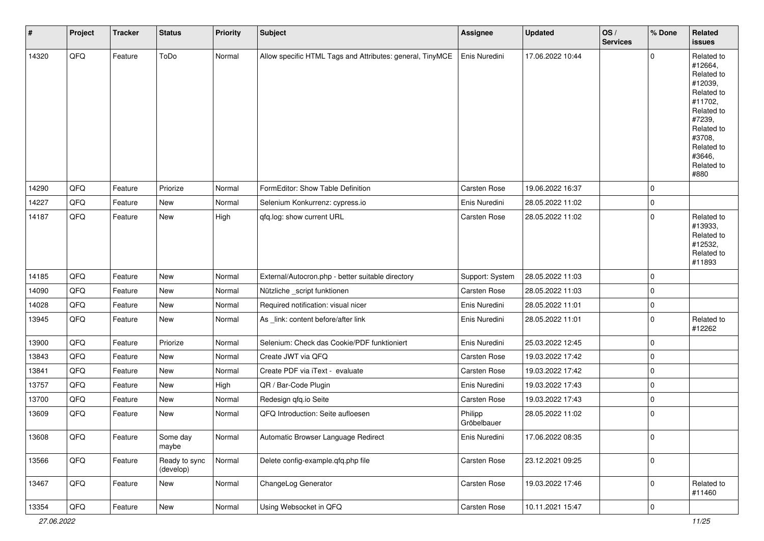| $\pmb{\#}$ | Project | <b>Tracker</b> | <b>Status</b>              | <b>Priority</b> | <b>Subject</b>                                            | Assignee               | <b>Updated</b>   | OS/<br><b>Services</b> | % Done      | Related<br><b>issues</b>                                                                                                                                              |
|------------|---------|----------------|----------------------------|-----------------|-----------------------------------------------------------|------------------------|------------------|------------------------|-------------|-----------------------------------------------------------------------------------------------------------------------------------------------------------------------|
| 14320      | QFQ     | Feature        | ToDo                       | Normal          | Allow specific HTML Tags and Attributes: general, TinyMCE | Enis Nuredini          | 17.06.2022 10:44 |                        | $\mathbf 0$ | Related to<br>#12664,<br>Related to<br>#12039,<br>Related to<br>#11702,<br>Related to<br>#7239,<br>Related to<br>#3708,<br>Related to<br>#3646,<br>Related to<br>#880 |
| 14290      | QFQ     | Feature        | Priorize                   | Normal          | FormEditor: Show Table Definition                         | Carsten Rose           | 19.06.2022 16:37 |                        | $\mathbf 0$ |                                                                                                                                                                       |
| 14227      | QFQ     | Feature        | New                        | Normal          | Selenium Konkurrenz: cypress.io                           | Enis Nuredini          | 28.05.2022 11:02 |                        | $\mathbf 0$ |                                                                                                                                                                       |
| 14187      | QFQ     | Feature        | New                        | High            | qfq.log: show current URL                                 | Carsten Rose           | 28.05.2022 11:02 |                        | $\mathbf 0$ | Related to<br>#13933,<br>Related to<br>#12532,<br>Related to<br>#11893                                                                                                |
| 14185      | QFQ     | Feature        | New                        | Normal          | External/Autocron.php - better suitable directory         | Support: System        | 28.05.2022 11:03 |                        | $\mathbf 0$ |                                                                                                                                                                       |
| 14090      | QFQ     | Feature        | New                        | Normal          | Nützliche _script funktionen                              | Carsten Rose           | 28.05.2022 11:03 |                        | $\mathbf 0$ |                                                                                                                                                                       |
| 14028      | QFQ     | Feature        | New                        | Normal          | Required notification: visual nicer                       | Enis Nuredini          | 28.05.2022 11:01 |                        | $\pmb{0}$   |                                                                                                                                                                       |
| 13945      | QFQ     | Feature        | New                        | Normal          | As _link: content before/after link                       | Enis Nuredini          | 28.05.2022 11:01 |                        | $\mathbf 0$ | Related to<br>#12262                                                                                                                                                  |
| 13900      | QFQ     | Feature        | Priorize                   | Normal          | Selenium: Check das Cookie/PDF funktioniert               | Enis Nuredini          | 25.03.2022 12:45 |                        | $\mathbf 0$ |                                                                                                                                                                       |
| 13843      | QFQ     | Feature        | New                        | Normal          | Create JWT via QFQ                                        | Carsten Rose           | 19.03.2022 17:42 |                        | $\mathbf 0$ |                                                                                                                                                                       |
| 13841      | QFQ     | Feature        | New                        | Normal          | Create PDF via iText - evaluate                           | Carsten Rose           | 19.03.2022 17:42 |                        | $\mathbf 0$ |                                                                                                                                                                       |
| 13757      | QFQ     | Feature        | New                        | High            | QR / Bar-Code Plugin                                      | Enis Nuredini          | 19.03.2022 17:43 |                        | $\mathbf 0$ |                                                                                                                                                                       |
| 13700      | QFQ     | Feature        | New                        | Normal          | Redesign qfq.io Seite                                     | Carsten Rose           | 19.03.2022 17:43 |                        | $\mathbf 0$ |                                                                                                                                                                       |
| 13609      | QFQ     | Feature        | New                        | Normal          | QFQ Introduction: Seite aufloesen                         | Philipp<br>Gröbelbauer | 28.05.2022 11:02 |                        | $\mathbf 0$ |                                                                                                                                                                       |
| 13608      | QFQ     | Feature        | Some day<br>maybe          | Normal          | Automatic Browser Language Redirect                       | Enis Nuredini          | 17.06.2022 08:35 |                        | 0           |                                                                                                                                                                       |
| 13566      | QFQ     | Feature        | Ready to sync<br>(develop) | Normal          | Delete config-example.qfq.php file                        | Carsten Rose           | 23.12.2021 09:25 |                        | $\pmb{0}$   |                                                                                                                                                                       |
| 13467      | QFQ     | Feature        | New                        | Normal          | ChangeLog Generator                                       | Carsten Rose           | 19.03.2022 17:46 |                        | $\mathbf 0$ | Related to<br>#11460                                                                                                                                                  |
| 13354      | QFG     | Feature        | New                        | Normal          | Using Websocket in QFQ                                    | Carsten Rose           | 10.11.2021 15:47 |                        | $\pmb{0}$   |                                                                                                                                                                       |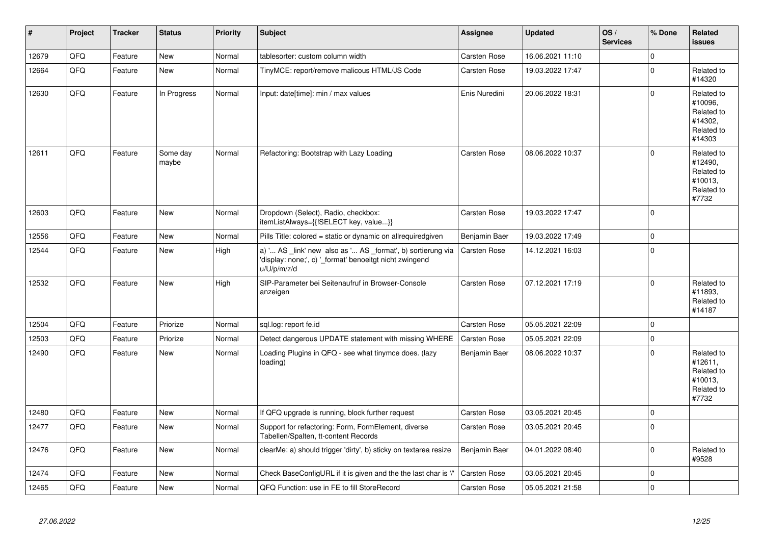| ∦     | Project | <b>Tracker</b> | <b>Status</b>     | <b>Priority</b> | <b>Subject</b>                                                                                                                        | <b>Assignee</b>     | <b>Updated</b>   | OS/<br><b>Services</b> | % Done      | Related<br><b>issues</b>                                               |
|-------|---------|----------------|-------------------|-----------------|---------------------------------------------------------------------------------------------------------------------------------------|---------------------|------------------|------------------------|-------------|------------------------------------------------------------------------|
| 12679 | QFQ     | Feature        | <b>New</b>        | Normal          | tablesorter: custom column width                                                                                                      | <b>Carsten Rose</b> | 16.06.2021 11:10 |                        | $\mathbf 0$ |                                                                        |
| 12664 | QFQ     | Feature        | <b>New</b>        | Normal          | TinyMCE: report/remove malicous HTML/JS Code                                                                                          | Carsten Rose        | 19.03.2022 17:47 |                        | $\mathbf 0$ | Related to<br>#14320                                                   |
| 12630 | QFQ     | Feature        | In Progress       | Normal          | Input: date[time]: min / max values                                                                                                   | Enis Nuredini       | 20.06.2022 18:31 |                        | $\mathbf 0$ | Related to<br>#10096.<br>Related to<br>#14302.<br>Related to<br>#14303 |
| 12611 | QFQ     | Feature        | Some day<br>maybe | Normal          | Refactoring: Bootstrap with Lazy Loading                                                                                              | <b>Carsten Rose</b> | 08.06.2022 10:37 |                        | $\Omega$    | Related to<br>#12490,<br>Related to<br>#10013,<br>Related to<br>#7732  |
| 12603 | QFQ     | Feature        | <b>New</b>        | Normal          | Dropdown (Select), Radio, checkbox:<br>itemListAlways={{!SELECT key, value}}                                                          | Carsten Rose        | 19.03.2022 17:47 |                        | $\mathbf 0$ |                                                                        |
| 12556 | QFQ     | Feature        | <b>New</b>        | Normal          | Pills Title: colored = static or dynamic on allrequiredgiven                                                                          | Benjamin Baer       | 19.03.2022 17:49 |                        | $\mathbf 0$ |                                                                        |
| 12544 | QFQ     | Feature        | <b>New</b>        | High            | a) ' AS _link' new also as ' AS _format', b) sortierung via<br>'display: none;', c) '_format' benoeitgt nicht zwingend<br>u/U/p/m/z/d | <b>Carsten Rose</b> | 14.12.2021 16:03 |                        | $\mathbf 0$ |                                                                        |
| 12532 | QFQ     | Feature        | New               | High            | SIP-Parameter bei Seitenaufruf in Browser-Console<br>anzeigen                                                                         | Carsten Rose        | 07.12.2021 17:19 |                        | $\Omega$    | Related to<br>#11893.<br>Related to<br>#14187                          |
| 12504 | QFQ     | Feature        | Priorize          | Normal          | sql.log: report fe.id                                                                                                                 | Carsten Rose        | 05.05.2021 22:09 |                        | $\mathbf 0$ |                                                                        |
| 12503 | QFQ     | Feature        | Priorize          | Normal          | Detect dangerous UPDATE statement with missing WHERE                                                                                  | Carsten Rose        | 05.05.2021 22:09 |                        | $\pmb{0}$   |                                                                        |
| 12490 | QFQ     | Feature        | New               | Normal          | Loading Plugins in QFQ - see what tinymce does. (lazy<br>loading)                                                                     | Benjamin Baer       | 08.06.2022 10:37 |                        | $\Omega$    | Related to<br>#12611,<br>Related to<br>#10013,<br>Related to<br>#7732  |
| 12480 | QFQ     | Feature        | New               | Normal          | If QFQ upgrade is running, block further request                                                                                      | Carsten Rose        | 03.05.2021 20:45 |                        | $\mathbf 0$ |                                                                        |
| 12477 | QFQ     | Feature        | <b>New</b>        | Normal          | Support for refactoring: Form, FormElement, diverse<br>Tabellen/Spalten, tt-content Records                                           | Carsten Rose        | 03.05.2021 20:45 |                        | $\mathbf 0$ |                                                                        |
| 12476 | QFQ     | Feature        | New               | Normal          | clearMe: a) should trigger 'dirty', b) sticky on textarea resize                                                                      | Benjamin Baer       | 04.01.2022 08:40 |                        | $\mathbf 0$ | Related to<br>#9528                                                    |
| 12474 | QFQ     | Feature        | New               | Normal          | Check BaseConfigURL if it is given and the the last char is '/'                                                                       | Carsten Rose        | 03.05.2021 20:45 |                        | $\mathbf 0$ |                                                                        |
| 12465 | QFQ     | Feature        | <b>New</b>        | Normal          | QFQ Function: use in FE to fill StoreRecord                                                                                           | Carsten Rose        | 05.05.2021 21:58 |                        | $\mathbf 0$ |                                                                        |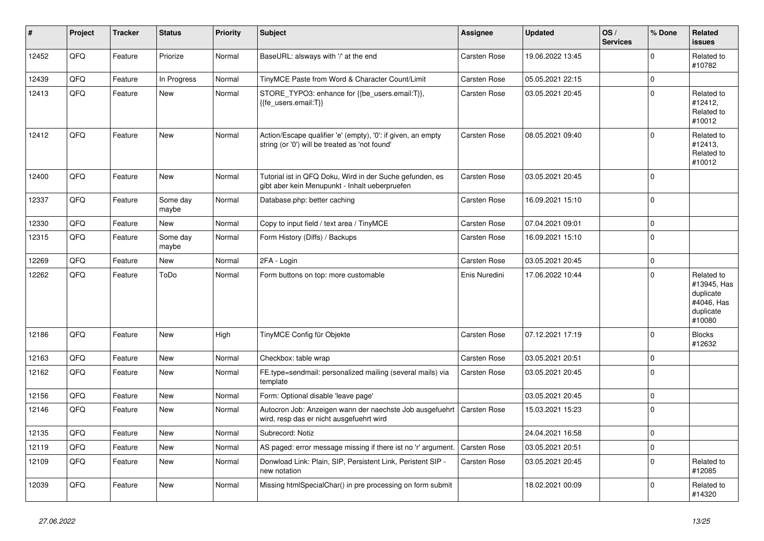| #     | Project | <b>Tracker</b> | <b>Status</b>     | <b>Priority</b> | <b>Subject</b>                                                                                                 | Assignee            | <b>Updated</b>   | OS/<br><b>Services</b> | % Done      | Related<br><b>issues</b>                                                    |
|-------|---------|----------------|-------------------|-----------------|----------------------------------------------------------------------------------------------------------------|---------------------|------------------|------------------------|-------------|-----------------------------------------------------------------------------|
| 12452 | QFQ     | Feature        | Priorize          | Normal          | BaseURL: alsways with '/' at the end                                                                           | Carsten Rose        | 19.06.2022 13:45 |                        | $\Omega$    | Related to<br>#10782                                                        |
| 12439 | QFQ     | Feature        | In Progress       | Normal          | TinyMCE Paste from Word & Character Count/Limit                                                                | Carsten Rose        | 05.05.2021 22:15 |                        | $\mathbf 0$ |                                                                             |
| 12413 | QFQ     | Feature        | New               | Normal          | STORE_TYPO3: enhance for {{be_users.email:T}},<br>{{fe users.email:T}}                                         | <b>Carsten Rose</b> | 03.05.2021 20:45 |                        | $\Omega$    | Related to<br>#12412,<br>Related to<br>#10012                               |
| 12412 | QFQ     | Feature        | <b>New</b>        | Normal          | Action/Escape qualifier 'e' (empty), '0': if given, an empty<br>string (or '0') will be treated as 'not found' | Carsten Rose        | 08.05.2021 09:40 |                        | $\mathbf 0$ | Related to<br>#12413,<br>Related to<br>#10012                               |
| 12400 | QFQ     | Feature        | New               | Normal          | Tutorial ist in QFQ Doku, Wird in der Suche gefunden, es<br>gibt aber kein Menupunkt - Inhalt ueberpruefen     | <b>Carsten Rose</b> | 03.05.2021 20:45 |                        | $\mathbf 0$ |                                                                             |
| 12337 | QFQ     | Feature        | Some day<br>maybe | Normal          | Database.php: better caching                                                                                   | Carsten Rose        | 16.09.2021 15:10 |                        | $\mathbf 0$ |                                                                             |
| 12330 | QFQ     | Feature        | <b>New</b>        | Normal          | Copy to input field / text area / TinyMCE                                                                      | Carsten Rose        | 07.04.2021 09:01 |                        | $\Omega$    |                                                                             |
| 12315 | QFQ     | Feature        | Some day<br>maybe | Normal          | Form History (Diffs) / Backups                                                                                 | Carsten Rose        | 16.09.2021 15:10 |                        | $\mathbf 0$ |                                                                             |
| 12269 | QFQ     | Feature        | <b>New</b>        | Normal          | 2FA - Login                                                                                                    | Carsten Rose        | 03.05.2021 20:45 |                        | $\mathbf 0$ |                                                                             |
| 12262 | QFQ     | Feature        | ToDo              | Normal          | Form buttons on top: more customable                                                                           | Enis Nuredini       | 17.06.2022 10:44 |                        | $\mathbf 0$ | Related to<br>#13945, Has<br>duplicate<br>#4046, Has<br>duplicate<br>#10080 |
| 12186 | QFQ     | Feature        | New               | High            | TinyMCE Config für Objekte                                                                                     | Carsten Rose        | 07.12.2021 17:19 |                        | $\mathbf 0$ | <b>Blocks</b><br>#12632                                                     |
| 12163 | QFQ     | Feature        | <b>New</b>        | Normal          | Checkbox: table wrap                                                                                           | <b>Carsten Rose</b> | 03.05.2021 20:51 |                        | $\mathbf 0$ |                                                                             |
| 12162 | QFQ     | Feature        | <b>New</b>        | Normal          | FE.type=sendmail: personalized mailing (several mails) via<br>template                                         | <b>Carsten Rose</b> | 03.05.2021 20:45 |                        | $\Omega$    |                                                                             |
| 12156 | QFQ     | Feature        | <b>New</b>        | Normal          | Form: Optional disable 'leave page'                                                                            |                     | 03.05.2021 20:45 |                        | $\mathbf 0$ |                                                                             |
| 12146 | QFQ     | Feature        | <b>New</b>        | Normal          | Autocron Job: Anzeigen wann der naechste Job ausgefuehrt<br>wird, resp das er nicht ausgefuehrt wird           | <b>Carsten Rose</b> | 15.03.2021 15:23 |                        | $\mathbf 0$ |                                                                             |
| 12135 | QFQ     | Feature        | <b>New</b>        | Normal          | Subrecord: Notiz                                                                                               |                     | 24.04.2021 16:58 |                        | $\mathbf 0$ |                                                                             |
| 12119 | QFQ     | Feature        | <b>New</b>        | Normal          | AS paged: error message missing if there ist no 'r' argument.                                                  | <b>Carsten Rose</b> | 03.05.2021 20:51 |                        | $\mathbf 0$ |                                                                             |
| 12109 | QFQ     | Feature        | <b>New</b>        | Normal          | Donwload Link: Plain, SIP, Persistent Link, Peristent SIP -<br>new notation                                    | Carsten Rose        | 03.05.2021 20:45 |                        | $\mathbf 0$ | Related to<br>#12085                                                        |
| 12039 | QFQ     | Feature        | <b>New</b>        | Normal          | Missing htmlSpecialChar() in pre processing on form submit                                                     |                     | 18.02.2021 00:09 |                        | $\Omega$    | Related to<br>#14320                                                        |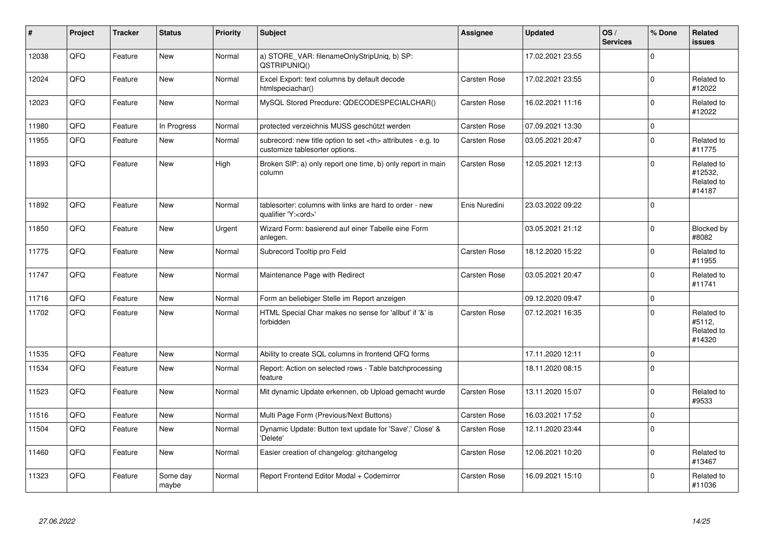| #     | Project | <b>Tracker</b> | <b>Status</b>     | <b>Priority</b> | <b>Subject</b>                                                                                       | Assignee                                               | <b>Updated</b>   | OS/<br><b>Services</b> | % Done      | Related<br><b>issues</b>                      |                      |
|-------|---------|----------------|-------------------|-----------------|------------------------------------------------------------------------------------------------------|--------------------------------------------------------|------------------|------------------------|-------------|-----------------------------------------------|----------------------|
| 12038 | QFQ     | Feature        | <b>New</b>        | Normal          | a) STORE_VAR: filenameOnlyStripUniq, b) SP:<br>QSTRIPUNIQ()                                          |                                                        | 17.02.2021 23:55 |                        | $\Omega$    |                                               |                      |
| 12024 | QFQ     | Feature        | <b>New</b>        | Normal          | Excel Export: text columns by default decode<br>htmlspeciachar()                                     | Carsten Rose                                           | 17.02.2021 23:55 |                        | $\mathbf 0$ | Related to<br>#12022                          |                      |
| 12023 | QFQ     | Feature        | <b>New</b>        | Normal          | MySQL Stored Precdure: QDECODESPECIALCHAR()                                                          | Carsten Rose                                           | 16.02.2021 11:16 |                        | $\mathbf 0$ | Related to<br>#12022                          |                      |
| 11980 | QFQ     | Feature        | In Progress       | Normal          | protected verzeichnis MUSS geschützt werden                                                          | Carsten Rose                                           | 07.09.2021 13:30 |                        | $\mathbf 0$ |                                               |                      |
| 11955 | QFQ     | Feature        | <b>New</b>        | Normal          | subrecord: new title option to set <th> attributes - e.g. to<br/>customize tablesorter options.</th> | attributes - e.g. to<br>customize tablesorter options. | Carsten Rose     | 03.05.2021 20:47       |             | $\mathbf 0$                                   | Related to<br>#11775 |
| 11893 | QFQ     | Feature        | <b>New</b>        | High            | Broken SIP: a) only report one time, b) only report in main<br>column                                | Carsten Rose                                           | 12.05.2021 12:13 |                        | $\Omega$    | Related to<br>#12532,<br>Related to<br>#14187 |                      |
| 11892 | QFQ     | Feature        | <b>New</b>        | Normal          | tablesorter: columns with links are hard to order - new<br>qualifier 'Y: <ord>'</ord>                | Enis Nuredini                                          | 23.03.2022 09:22 |                        | $\Omega$    |                                               |                      |
| 11850 | QFQ     | Feature        | New               | Urgent          | Wizard Form: basierend auf einer Tabelle eine Form<br>anlegen.                                       |                                                        | 03.05.2021 21:12 |                        | $\mathbf 0$ | Blocked by<br>#8082                           |                      |
| 11775 | QFQ     | Feature        | New               | Normal          | Subrecord Tooltip pro Feld                                                                           | Carsten Rose                                           | 18.12.2020 15:22 |                        | $\Omega$    | Related to<br>#11955                          |                      |
| 11747 | QFQ     | Feature        | New               | Normal          | Maintenance Page with Redirect                                                                       | <b>Carsten Rose</b>                                    | 03.05.2021 20:47 |                        | $\Omega$    | Related to<br>#11741                          |                      |
| 11716 | QFQ     | Feature        | <b>New</b>        | Normal          | Form an beliebiger Stelle im Report anzeigen                                                         |                                                        | 09.12.2020 09:47 |                        | $\mathbf 0$ |                                               |                      |
| 11702 | QFQ     | Feature        | <b>New</b>        | Normal          | HTML Special Char makes no sense for 'allbut' if '&' is<br>forbidden                                 | <b>Carsten Rose</b>                                    | 07.12.2021 16:35 |                        | $\Omega$    | Related to<br>#5112,<br>Related to<br>#14320  |                      |
| 11535 | QFQ     | Feature        | <b>New</b>        | Normal          | Ability to create SQL columns in frontend QFQ forms                                                  |                                                        | 17.11.2020 12:11 |                        | $\mathbf 0$ |                                               |                      |
| 11534 | QFQ     | Feature        | <b>New</b>        | Normal          | Report: Action on selected rows - Table batchprocessing<br>feature                                   |                                                        | 18.11.2020 08:15 |                        | $\Omega$    |                                               |                      |
| 11523 | QFQ     | Feature        | <b>New</b>        | Normal          | Mit dynamic Update erkennen, ob Upload gemacht wurde                                                 | Carsten Rose                                           | 13.11.2020 15:07 |                        | $\mathbf 0$ | Related to<br>#9533                           |                      |
| 11516 | QFQ     | Feature        | <b>New</b>        | Normal          | Multi Page Form (Previous/Next Buttons)                                                              | <b>Carsten Rose</b>                                    | 16.03.2021 17:52 |                        | $\mathbf 0$ |                                               |                      |
| 11504 | QFQ     | Feature        | <b>New</b>        | Normal          | Dynamic Update: Button text update for 'Save',' Close' &<br>'Delete'                                 | Carsten Rose                                           | 12.11.2020 23:44 |                        | $\Omega$    |                                               |                      |
| 11460 | QFQ     | Feature        | New               | Normal          | Easier creation of changelog: gitchangelog                                                           | Carsten Rose                                           | 12.06.2021 10:20 |                        | $\Omega$    | Related to<br>#13467                          |                      |
| 11323 | QFQ     | Feature        | Some day<br>maybe | Normal          | Report Frontend Editor Modal + Codemirror                                                            | Carsten Rose                                           | 16.09.2021 15:10 |                        | $\Omega$    | Related to<br>#11036                          |                      |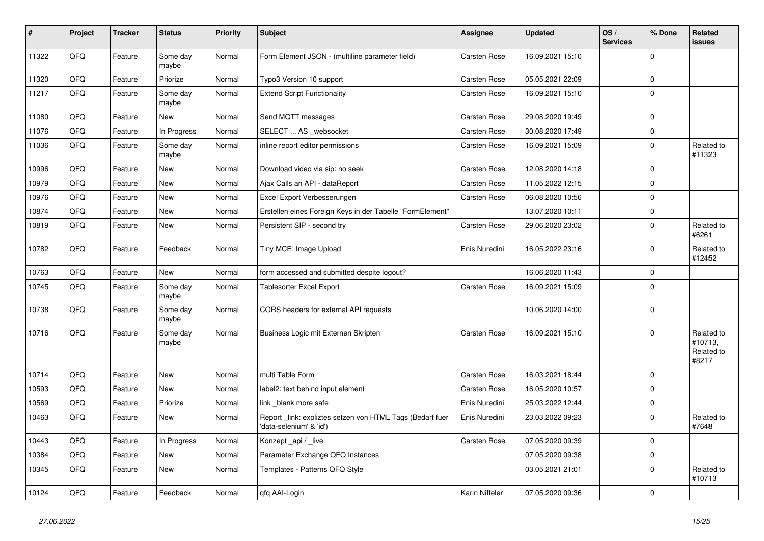| $\vert$ # | Project | <b>Tracker</b> | <b>Status</b>     | <b>Priority</b> | <b>Subject</b>                                                                      | Assignee            | <b>Updated</b>   | OS/<br><b>Services</b> | % Done      | Related<br><b>issues</b>                     |
|-----------|---------|----------------|-------------------|-----------------|-------------------------------------------------------------------------------------|---------------------|------------------|------------------------|-------------|----------------------------------------------|
| 11322     | QFQ     | Feature        | Some day<br>maybe | Normal          | Form Element JSON - (multiline parameter field)                                     | Carsten Rose        | 16.09.2021 15:10 |                        | $\mathbf 0$ |                                              |
| 11320     | QFQ     | Feature        | Priorize          | Normal          | Typo3 Version 10 support                                                            | <b>Carsten Rose</b> | 05.05.2021 22:09 |                        | $\mathbf 0$ |                                              |
| 11217     | QFQ     | Feature        | Some day<br>maybe | Normal          | <b>Extend Script Functionality</b>                                                  | Carsten Rose        | 16.09.2021 15:10 |                        | $\mathbf 0$ |                                              |
| 11080     | QFQ     | Feature        | <b>New</b>        | Normal          | Send MQTT messages                                                                  | Carsten Rose        | 29.08.2020 19:49 |                        | $\pmb{0}$   |                                              |
| 11076     | QFQ     | Feature        | In Progress       | Normal          | SELECT  AS _websocket                                                               | Carsten Rose        | 30.08.2020 17:49 |                        | $\mathbf 0$ |                                              |
| 11036     | QFQ     | Feature        | Some day<br>maybe | Normal          | inline report editor permissions                                                    | Carsten Rose        | 16.09.2021 15:09 |                        | $\mathbf 0$ | Related to<br>#11323                         |
| 10996     | QFQ     | Feature        | <b>New</b>        | Normal          | Download video via sip: no seek                                                     | <b>Carsten Rose</b> | 12.08.2020 14:18 |                        | $\mathbf 0$ |                                              |
| 10979     | QFQ     | Feature        | <b>New</b>        | Normal          | Ajax Calls an API - dataReport                                                      | <b>Carsten Rose</b> | 11.05.2022 12:15 |                        | $\mathbf 0$ |                                              |
| 10976     | QFQ     | Feature        | <b>New</b>        | Normal          | Excel Export Verbesserungen                                                         | Carsten Rose        | 06.08.2020 10:56 |                        | $\mathbf 0$ |                                              |
| 10874     | QFQ     | Feature        | <b>New</b>        | Normal          | Erstellen eines Foreign Keys in der Tabelle "FormElement"                           |                     | 13.07.2020 10:11 |                        | $\mathbf 0$ |                                              |
| 10819     | QFQ     | Feature        | <b>New</b>        | Normal          | Persistent SIP - second try                                                         | <b>Carsten Rose</b> | 29.06.2020 23:02 |                        | $\mathbf 0$ | Related to<br>#6261                          |
| 10782     | QFQ     | Feature        | Feedback          | Normal          | Tiny MCE: Image Upload                                                              | Enis Nuredini       | 16.05.2022 23:16 |                        | $\mathbf 0$ | Related to<br>#12452                         |
| 10763     | QFQ     | Feature        | <b>New</b>        | Normal          | form accessed and submitted despite logout?                                         |                     | 16.06.2020 11:43 |                        | $\mathbf 0$ |                                              |
| 10745     | QFQ     | Feature        | Some day<br>maybe | Normal          | <b>Tablesorter Excel Export</b>                                                     | Carsten Rose        | 16.09.2021 15:09 |                        | $\mathbf 0$ |                                              |
| 10738     | QFQ     | Feature        | Some day<br>maybe | Normal          | CORS headers for external API requests                                              |                     | 10.06.2020 14:00 |                        | $\mathbf 0$ |                                              |
| 10716     | QFQ     | Feature        | Some day<br>maybe | Normal          | Business Logic mit Externen Skripten                                                | Carsten Rose        | 16.09.2021 15:10 |                        | $\pmb{0}$   | Related to<br>#10713,<br>Related to<br>#8217 |
| 10714     | QFQ     | Feature        | <b>New</b>        | Normal          | multi Table Form                                                                    | Carsten Rose        | 16.03.2021 18:44 |                        | $\mathbf 0$ |                                              |
| 10593     | QFQ     | Feature        | New               | Normal          | label2: text behind input element                                                   | Carsten Rose        | 16.05.2020 10:57 |                        | $\mathbf 0$ |                                              |
| 10569     | QFQ     | Feature        | Priorize          | Normal          | link _blank more safe                                                               | Enis Nuredini       | 25.03.2022 12:44 |                        | $\pmb{0}$   |                                              |
| 10463     | QFQ     | Feature        | <b>New</b>        | Normal          | Report link: expliztes setzen von HTML Tags (Bedarf fuer<br>'data-selenium' & 'id') | Enis Nuredini       | 23.03.2022 09:23 |                        | $\mathbf 0$ | Related to<br>#7648                          |
| 10443     | QFQ     | Feature        | In Progress       | Normal          | Konzept api / live                                                                  | <b>Carsten Rose</b> | 07.05.2020 09:39 |                        | $\mathbf 0$ |                                              |
| 10384     | QFQ     | Feature        | New               | Normal          | Parameter Exchange QFQ Instances                                                    |                     | 07.05.2020 09:38 |                        | $\mathbf 0$ |                                              |
| 10345     | QFQ     | Feature        | New               | Normal          | Templates - Patterns QFQ Style                                                      |                     | 03.05.2021 21:01 |                        | $\mathbf 0$ | Related to<br>#10713                         |
| 10124     | QFQ     | Feature        | Feedback          | Normal          | qfq AAI-Login                                                                       | Karin Niffeler      | 07.05.2020 09:36 |                        | $\pmb{0}$   |                                              |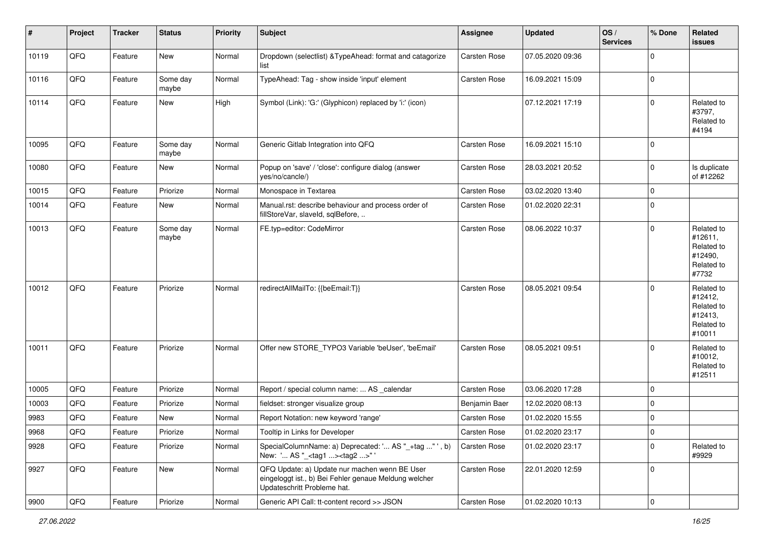| #     | Project | <b>Tracker</b> | <b>Status</b>     | <b>Priority</b> | Subject                                                                                                                               | <b>Assignee</b>     | <b>Updated</b>   | OS/<br><b>Services</b> | % Done         | Related<br>issues                                                      |
|-------|---------|----------------|-------------------|-----------------|---------------------------------------------------------------------------------------------------------------------------------------|---------------------|------------------|------------------------|----------------|------------------------------------------------------------------------|
| 10119 | QFQ     | Feature        | New               | Normal          | Dropdown (selectlist) & TypeAhead: format and catagorize<br>list                                                                      | <b>Carsten Rose</b> | 07.05.2020 09:36 |                        | $\mathbf 0$    |                                                                        |
| 10116 | QFQ     | Feature        | Some day<br>maybe | Normal          | TypeAhead: Tag - show inside 'input' element                                                                                          | Carsten Rose        | 16.09.2021 15:09 |                        | 0              |                                                                        |
| 10114 | QFQ     | Feature        | <b>New</b>        | High            | Symbol (Link): 'G:' (Glyphicon) replaced by 'i:' (icon)                                                                               |                     | 07.12.2021 17:19 |                        | $\mathbf 0$    | Related to<br>#3797,<br>Related to<br>#4194                            |
| 10095 | QFQ     | Feature        | Some day<br>maybe | Normal          | Generic Gitlab Integration into QFQ                                                                                                   | <b>Carsten Rose</b> | 16.09.2021 15:10 |                        | 0              |                                                                        |
| 10080 | QFQ     | Feature        | <b>New</b>        | Normal          | Popup on 'save' / 'close': configure dialog (answer<br>yes/no/cancle/)                                                                | Carsten Rose        | 28.03.2021 20:52 |                        | $\mathbf 0$    | Is duplicate<br>of #12262                                              |
| 10015 | QFQ     | Feature        | Priorize          | Normal          | Monospace in Textarea                                                                                                                 | Carsten Rose        | 03.02.2020 13:40 |                        | 0              |                                                                        |
| 10014 | QFQ     | Feature        | New               | Normal          | Manual.rst: describe behaviour and process order of<br>fillStoreVar, slaveId, sqlBefore,                                              | Carsten Rose        | 01.02.2020 22:31 |                        | $\mathbf 0$    |                                                                        |
| 10013 | QFQ     | Feature        | Some day<br>maybe | Normal          | FE.typ=editor: CodeMirror                                                                                                             | Carsten Rose        | 08.06.2022 10:37 |                        | $\mathbf 0$    | Related to<br>#12611,<br>Related to<br>#12490,<br>Related to<br>#7732  |
| 10012 | QFQ     | Feature        | Priorize          | Normal          | redirectAllMailTo: {{beEmail:T}}                                                                                                      | Carsten Rose        | 08.05.2021 09:54 |                        | 0              | Related to<br>#12412,<br>Related to<br>#12413,<br>Related to<br>#10011 |
| 10011 | QFQ     | Feature        | Priorize          | Normal          | Offer new STORE_TYPO3 Variable 'beUser', 'beEmail'                                                                                    | Carsten Rose        | 08.05.2021 09:51 |                        | $\Omega$       | Related to<br>#10012,<br>Related to<br>#12511                          |
| 10005 | QFQ     | Feature        | Priorize          | Normal          | Report / special column name:  AS _calendar                                                                                           | Carsten Rose        | 03.06.2020 17:28 |                        | 0              |                                                                        |
| 10003 | QFQ     | Feature        | Priorize          | Normal          | fieldset: stronger visualize group                                                                                                    | Benjamin Baer       | 12.02.2020 08:13 |                        | 0              |                                                                        |
| 9983  | QFQ     | Feature        | New               | Normal          | Report Notation: new keyword 'range'                                                                                                  | Carsten Rose        | 01.02.2020 15:55 |                        | $\overline{0}$ |                                                                        |
| 9968  | QFQ     | Feature        | Priorize          | Normal          | Tooltip in Links for Developer                                                                                                        | Carsten Rose        | 01.02.2020 23:17 |                        | $\mathbf 0$    |                                                                        |
| 9928  | QFQ     | Feature        | Priorize          | Normal          | SpecialColumnName: a) Deprecated: ' AS "_+tag " ', b)<br>New: ' AS "_ <tag1><tag2>" '</tag2></tag1>                                   | Carsten Rose        | 01.02.2020 23:17 |                        | $\mathbf 0$    | Related to<br>#9929                                                    |
| 9927  | QFQ     | Feature        | New               | Normal          | QFQ Update: a) Update nur machen wenn BE User<br>eingeloggt ist., b) Bei Fehler genaue Meldung welcher<br>Updateschritt Probleme hat. | Carsten Rose        | 22.01.2020 12:59 |                        | 0              |                                                                        |
| 9900  | QFQ     | Feature        | Priorize          | Normal          | Generic API Call: tt-content record >> JSON                                                                                           | Carsten Rose        | 01.02.2020 10:13 |                        | 0              |                                                                        |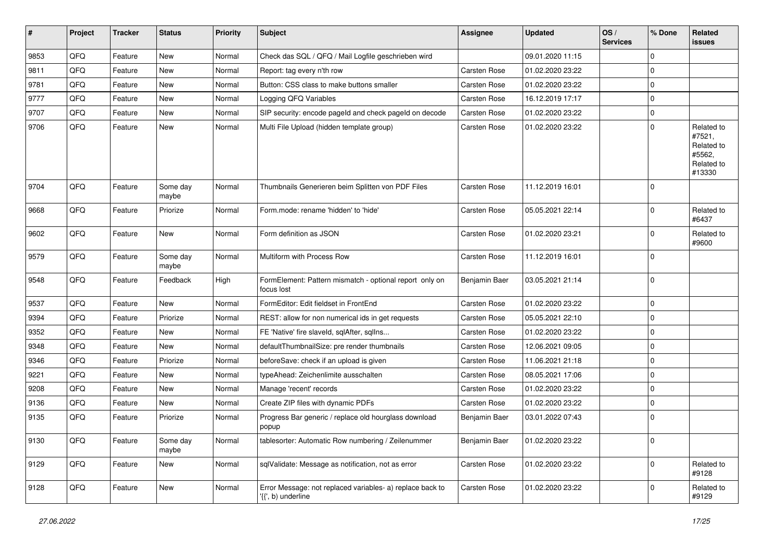| $\vert$ # | Project | <b>Tracker</b> | <b>Status</b>     | <b>Priority</b> | Subject                                                                         | <b>Assignee</b> | <b>Updated</b>   | OS/<br><b>Services</b> | % Done      | Related<br>issues                                                    |
|-----------|---------|----------------|-------------------|-----------------|---------------------------------------------------------------------------------|-----------------|------------------|------------------------|-------------|----------------------------------------------------------------------|
| 9853      | QFQ     | Feature        | <b>New</b>        | Normal          | Check das SQL / QFQ / Mail Logfile geschrieben wird                             |                 | 09.01.2020 11:15 |                        | $\Omega$    |                                                                      |
| 9811      | QFQ     | Feature        | New               | Normal          | Report: tag every n'th row                                                      | Carsten Rose    | 01.02.2020 23:22 |                        | $\mathbf 0$ |                                                                      |
| 9781      | QFQ     | Feature        | New               | Normal          | Button: CSS class to make buttons smaller                                       | Carsten Rose    | 01.02.2020 23:22 |                        | $\Omega$    |                                                                      |
| 9777      | QFQ     | Feature        | <b>New</b>        | Normal          | Logging QFQ Variables                                                           | Carsten Rose    | 16.12.2019 17:17 |                        | 0           |                                                                      |
| 9707      | QFQ     | Feature        | New               | Normal          | SIP security: encode pageld and check pageld on decode                          | Carsten Rose    | 01.02.2020 23:22 |                        | $\mathbf 0$ |                                                                      |
| 9706      | QFQ     | Feature        | New               | Normal          | Multi File Upload (hidden template group)                                       | Carsten Rose    | 01.02.2020 23:22 |                        | $\Omega$    | Related to<br>#7521,<br>Related to<br>#5562,<br>Related to<br>#13330 |
| 9704      | QFQ     | Feature        | Some day<br>maybe | Normal          | Thumbnails Generieren beim Splitten von PDF Files                               | Carsten Rose    | 11.12.2019 16:01 |                        | $\Omega$    |                                                                      |
| 9668      | QFQ     | Feature        | Priorize          | Normal          | Form.mode: rename 'hidden' to 'hide'                                            | Carsten Rose    | 05.05.2021 22:14 |                        | $\mathbf 0$ | Related to<br>#6437                                                  |
| 9602      | QFQ     | Feature        | <b>New</b>        | Normal          | Form definition as JSON                                                         | Carsten Rose    | 01.02.2020 23:21 |                        | $\mathbf 0$ | Related to<br>#9600                                                  |
| 9579      | QFQ     | Feature        | Some day<br>maybe | Normal          | Multiform with Process Row                                                      | Carsten Rose    | 11.12.2019 16:01 |                        | $\Omega$    |                                                                      |
| 9548      | QFQ     | Feature        | Feedback          | High            | FormElement: Pattern mismatch - optional report only on<br>focus lost           | Benjamin Baer   | 03.05.2021 21:14 |                        | $\mathbf 0$ |                                                                      |
| 9537      | QFQ     | Feature        | <b>New</b>        | Normal          | FormEditor: Edit fieldset in FrontEnd                                           | Carsten Rose    | 01.02.2020 23:22 |                        | 0           |                                                                      |
| 9394      | QFQ     | Feature        | Priorize          | Normal          | REST: allow for non numerical ids in get requests                               | Carsten Rose    | 05.05.2021 22:10 |                        | $\Omega$    |                                                                      |
| 9352      | QFQ     | Feature        | New               | Normal          | FE 'Native' fire slaveld, sqlAfter, sqlIns                                      | Carsten Rose    | 01.02.2020 23:22 |                        | $\mathbf 0$ |                                                                      |
| 9348      | QFQ     | Feature        | New               | Normal          | defaultThumbnailSize: pre render thumbnails                                     | Carsten Rose    | 12.06.2021 09:05 |                        | $\Omega$    |                                                                      |
| 9346      | QFQ     | Feature        | Priorize          | Normal          | beforeSave: check if an upload is given                                         | Carsten Rose    | 11.06.2021 21:18 |                        | $\mathbf 0$ |                                                                      |
| 9221      | QFQ     | Feature        | New               | Normal          | typeAhead: Zeichenlimite ausschalten                                            | Carsten Rose    | 08.05.2021 17:06 |                        | $\Omega$    |                                                                      |
| 9208      | QFQ     | Feature        | New               | Normal          | Manage 'recent' records                                                         | Carsten Rose    | 01.02.2020 23:22 |                        | $\Omega$    |                                                                      |
| 9136      | QFQ     | Feature        | New               | Normal          | Create ZIP files with dynamic PDFs                                              | Carsten Rose    | 01.02.2020 23:22 |                        | $\mathbf 0$ |                                                                      |
| 9135      | QFQ     | Feature        | Priorize          | Normal          | Progress Bar generic / replace old hourglass download<br>popup                  | Benjamin Baer   | 03.01.2022 07:43 |                        | $\mathbf 0$ |                                                                      |
| 9130      | QFQ     | Feature        | Some day<br>maybe | Normal          | tablesorter: Automatic Row numbering / Zeilenummer                              | Benjamin Baer   | 01.02.2020 23:22 |                        | 0           |                                                                      |
| 9129      | QFQ     | Feature        | New               | Normal          | sqlValidate: Message as notification, not as error                              | Carsten Rose    | 01.02.2020 23:22 |                        | 0           | Related to<br>#9128                                                  |
| 9128      | QFQ     | Feature        | New               | Normal          | Error Message: not replaced variables- a) replace back to<br>'{{', b) underline | Carsten Rose    | 01.02.2020 23:22 |                        | 0           | Related to<br>#9129                                                  |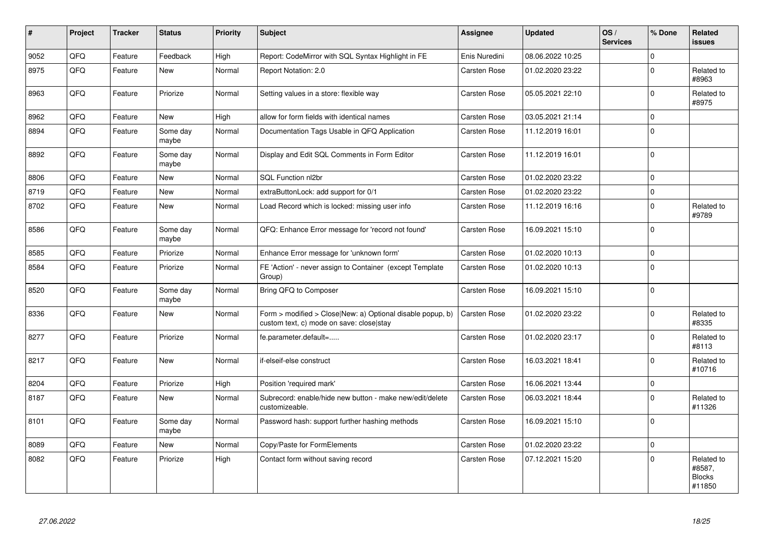| $\vert$ # | Project | <b>Tracker</b> | <b>Status</b>     | <b>Priority</b> | <b>Subject</b>                                                                                         | Assignee            | <b>Updated</b>   | OS/<br><b>Services</b> | % Done      | Related<br><b>issues</b>                        |
|-----------|---------|----------------|-------------------|-----------------|--------------------------------------------------------------------------------------------------------|---------------------|------------------|------------------------|-------------|-------------------------------------------------|
| 9052      | QFQ     | Feature        | Feedback          | High            | Report: CodeMirror with SQL Syntax Highlight in FE                                                     | Enis Nuredini       | 08.06.2022 10:25 |                        | $\Omega$    |                                                 |
| 8975      | QFQ     | Feature        | New               | Normal          | Report Notation: 2.0                                                                                   | <b>Carsten Rose</b> | 01.02.2020 23:22 |                        | $\Omega$    | Related to<br>#8963                             |
| 8963      | QFQ     | Feature        | Priorize          | Normal          | Setting values in a store: flexible way                                                                | Carsten Rose        | 05.05.2021 22:10 |                        | $\mathbf 0$ | Related to<br>#8975                             |
| 8962      | QFQ     | Feature        | <b>New</b>        | High            | allow for form fields with identical names                                                             | Carsten Rose        | 03.05.2021 21:14 |                        | $\mathbf 0$ |                                                 |
| 8894      | QFQ     | Feature        | Some day<br>maybe | Normal          | Documentation Tags Usable in QFQ Application                                                           | <b>Carsten Rose</b> | 11.12.2019 16:01 |                        | $\mathbf 0$ |                                                 |
| 8892      | QFQ     | Feature        | Some dav<br>maybe | Normal          | Display and Edit SQL Comments in Form Editor                                                           | Carsten Rose        | 11.12.2019 16:01 |                        | $\mathbf 0$ |                                                 |
| 8806      | QFQ     | Feature        | <b>New</b>        | Normal          | SQL Function nl2br                                                                                     | Carsten Rose        | 01.02.2020 23:22 |                        | $\mathbf 0$ |                                                 |
| 8719      | QFQ     | Feature        | New               | Normal          | extraButtonLock: add support for 0/1                                                                   | Carsten Rose        | 01.02.2020 23:22 |                        | $\Omega$    |                                                 |
| 8702      | QFQ     | Feature        | New               | Normal          | Load Record which is locked: missing user info                                                         | <b>Carsten Rose</b> | 11.12.2019 16:16 |                        | $\mathbf 0$ | Related to<br>#9789                             |
| 8586      | QFQ     | Feature        | Some day<br>maybe | Normal          | QFQ: Enhance Error message for 'record not found'                                                      | Carsten Rose        | 16.09.2021 15:10 |                        | $\mathbf 0$ |                                                 |
| 8585      | QFQ     | Feature        | Priorize          | Normal          | Enhance Error message for 'unknown form'                                                               | Carsten Rose        | 01.02.2020 10:13 |                        | $\pmb{0}$   |                                                 |
| 8584      | QFQ     | Feature        | Priorize          | Normal          | FE 'Action' - never assign to Container (except Template<br>Group)                                     | <b>Carsten Rose</b> | 01.02.2020 10:13 |                        | $\mathbf 0$ |                                                 |
| 8520      | QFQ     | Feature        | Some day<br>maybe | Normal          | Bring QFQ to Composer                                                                                  | <b>Carsten Rose</b> | 16.09.2021 15:10 |                        | $\mathbf 0$ |                                                 |
| 8336      | QFQ     | Feature        | New               | Normal          | Form > modified > Close New: a) Optional disable popup, b)<br>custom text, c) mode on save: close stay | <b>Carsten Rose</b> | 01.02.2020 23:22 |                        | $\mathbf 0$ | Related to<br>#8335                             |
| 8277      | QFQ     | Feature        | Priorize          | Normal          | fe.parameter.default=                                                                                  | Carsten Rose        | 01.02.2020 23:17 |                        | $\mathbf 0$ | Related to<br>#8113                             |
| 8217      | QFQ     | Feature        | New               | Normal          | if-elseif-else construct                                                                               | Carsten Rose        | 16.03.2021 18:41 |                        | $\mathbf 0$ | Related to<br>#10716                            |
| 8204      | QFQ     | Feature        | Priorize          | High            | Position 'required mark'                                                                               | Carsten Rose        | 16.06.2021 13:44 |                        | $\mathbf 0$ |                                                 |
| 8187      | QFQ     | Feature        | <b>New</b>        | Normal          | Subrecord: enable/hide new button - make new/edit/delete<br>customizeable.                             | Carsten Rose        | 06.03.2021 18:44 |                        | $\mathbf 0$ | Related to<br>#11326                            |
| 8101      | QFQ     | Feature        | Some day<br>maybe | Normal          | Password hash: support further hashing methods                                                         | <b>Carsten Rose</b> | 16.09.2021 15:10 |                        | $\mathbf 0$ |                                                 |
| 8089      | QFQ     | Feature        | New               | Normal          | Copy/Paste for FormElements                                                                            | Carsten Rose        | 01.02.2020 23:22 |                        | $\pmb{0}$   |                                                 |
| 8082      | QFQ     | Feature        | Priorize          | High            | Contact form without saving record                                                                     | <b>Carsten Rose</b> | 07.12.2021 15:20 |                        | $\mathbf 0$ | Related to<br>#8587,<br><b>Blocks</b><br>#11850 |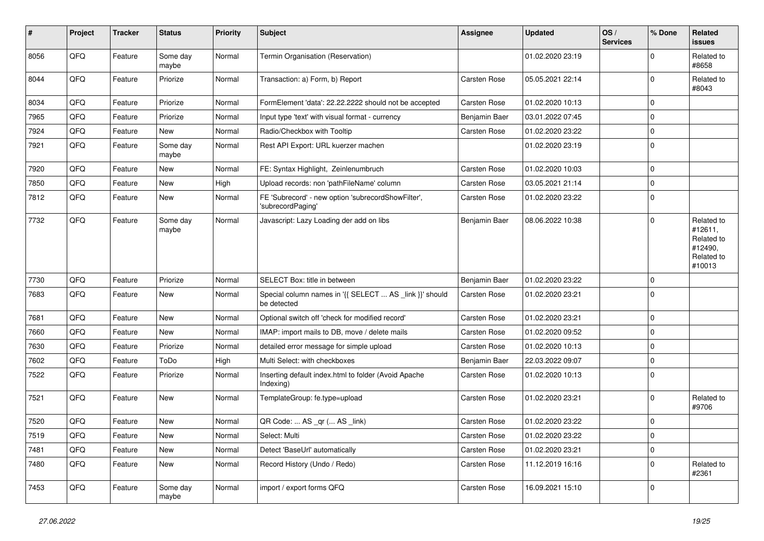| $\vert$ # | Project    | <b>Tracker</b> | <b>Status</b>     | <b>Priority</b> | Subject                                                                 | Assignee      | <b>Updated</b>   | OS/<br><b>Services</b> | % Done      | Related<br><b>issues</b>                                               |
|-----------|------------|----------------|-------------------|-----------------|-------------------------------------------------------------------------|---------------|------------------|------------------------|-------------|------------------------------------------------------------------------|
| 8056      | QFQ        | Feature        | Some day<br>maybe | Normal          | Termin Organisation (Reservation)                                       |               | 01.02.2020 23:19 |                        | $\mathbf 0$ | Related to<br>#8658                                                    |
| 8044      | QFQ        | Feature        | Priorize          | Normal          | Transaction: a) Form, b) Report                                         | Carsten Rose  | 05.05.2021 22:14 |                        | $\mathbf 0$ | Related to<br>#8043                                                    |
| 8034      | QFQ        | Feature        | Priorize          | Normal          | FormElement 'data': 22.22.2222 should not be accepted                   | Carsten Rose  | 01.02.2020 10:13 |                        | 0           |                                                                        |
| 7965      | QFQ        | Feature        | Priorize          | Normal          | Input type 'text' with visual format - currency                         | Benjamin Baer | 03.01.2022 07:45 |                        | $\Omega$    |                                                                        |
| 7924      | QFQ        | Feature        | New               | Normal          | Radio/Checkbox with Tooltip                                             | Carsten Rose  | 01.02.2020 23:22 |                        | $\mathbf 0$ |                                                                        |
| 7921      | QFQ        | Feature        | Some day<br>maybe | Normal          | Rest API Export: URL kuerzer machen                                     |               | 01.02.2020 23:19 |                        | $\mathbf 0$ |                                                                        |
| 7920      | QFQ        | Feature        | New               | Normal          | FE: Syntax Highlight, Zeinlenumbruch                                    | Carsten Rose  | 01.02.2020 10:03 |                        | $\mathbf 0$ |                                                                        |
| 7850      | QFQ        | Feature        | New               | High            | Upload records: non 'pathFileName' column                               | Carsten Rose  | 03.05.2021 21:14 |                        | $\mathbf 0$ |                                                                        |
| 7812      | QFQ        | Feature        | New               | Normal          | FE 'Subrecord' - new option 'subrecordShowFilter',<br>'subrecordPaging' | Carsten Rose  | 01.02.2020 23:22 |                        | $\mathbf 0$ |                                                                        |
| 7732      | QFQ        | Feature        | Some day<br>maybe | Normal          | Javascript: Lazy Loading der add on libs                                | Benjamin Baer | 08.06.2022 10:38 |                        | $\mathbf 0$ | Related to<br>#12611,<br>Related to<br>#12490,<br>Related to<br>#10013 |
| 7730      | QFQ        | Feature        | Priorize          | Normal          | SELECT Box: title in between                                            | Benjamin Baer | 01.02.2020 23:22 |                        | $\mathbf 0$ |                                                                        |
| 7683      | QFQ        | Feature        | New               | Normal          | Special column names in '{{ SELECT  AS _link }}' should<br>be detected  | Carsten Rose  | 01.02.2020 23:21 |                        | $\mathbf 0$ |                                                                        |
| 7681      | QFQ        | Feature        | <b>New</b>        | Normal          | Optional switch off 'check for modified record'                         | Carsten Rose  | 01.02.2020 23:21 |                        | $\mathbf 0$ |                                                                        |
| 7660      | QFQ        | Feature        | New               | Normal          | IMAP: import mails to DB, move / delete mails                           | Carsten Rose  | 01.02.2020 09:52 |                        | $\mathbf 0$ |                                                                        |
| 7630      | QFQ        | Feature        | Priorize          | Normal          | detailed error message for simple upload                                | Carsten Rose  | 01.02.2020 10:13 |                        | $\mathbf 0$ |                                                                        |
| 7602      | QFQ        | Feature        | ToDo              | High            | Multi Select: with checkboxes                                           | Benjamin Baer | 22.03.2022 09:07 |                        | $\mathbf 0$ |                                                                        |
| 7522      | QFQ        | Feature        | Priorize          | Normal          | Inserting default index.html to folder (Avoid Apache<br>Indexing)       | Carsten Rose  | 01.02.2020 10:13 |                        | $\mathbf 0$ |                                                                        |
| 7521      | QFQ        | Feature        | <b>New</b>        | Normal          | TemplateGroup: fe.type=upload                                           | Carsten Rose  | 01.02.2020 23:21 |                        | $\mathbf 0$ | Related to<br>#9706                                                    |
| 7520      | QFQ        | Feature        | <b>New</b>        | Normal          | QR Code:  AS _qr ( AS _link)                                            | Carsten Rose  | 01.02.2020 23:22 |                        | $\mathbf 0$ |                                                                        |
| 7519      | <b>QFQ</b> | Feature        | New               | Normal          | Select: Multi                                                           | Carsten Rose  | 01.02.2020 23:22 |                        | 0           |                                                                        |
| 7481      | QFQ        | Feature        | New               | Normal          | Detect 'BaseUrl' automatically                                          | Carsten Rose  | 01.02.2020 23:21 |                        | $\mathbf 0$ |                                                                        |
| 7480      | QFQ        | Feature        | New               | Normal          | Record History (Undo / Redo)                                            | Carsten Rose  | 11.12.2019 16:16 |                        | $\mathbf 0$ | Related to<br>#2361                                                    |
| 7453      | QFQ        | Feature        | Some day<br>maybe | Normal          | import / export forms QFQ                                               | Carsten Rose  | 16.09.2021 15:10 |                        | $\mathbf 0$ |                                                                        |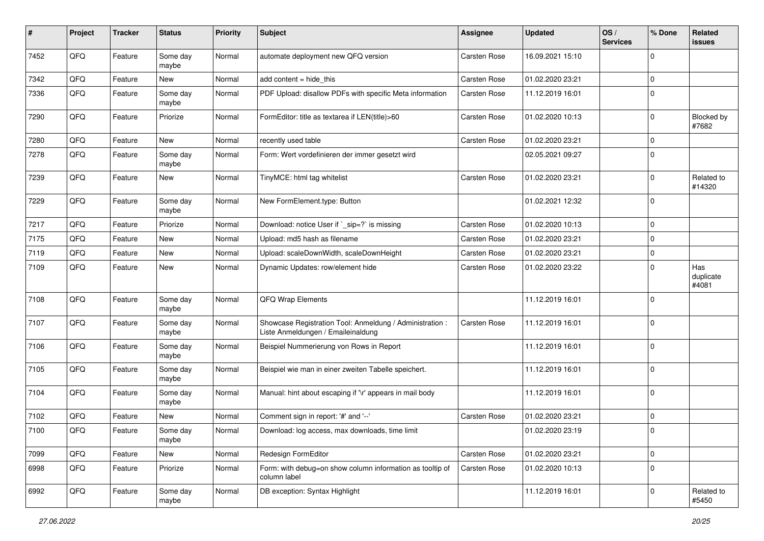| #    | Project | <b>Tracker</b> | <b>Status</b>     | <b>Priority</b> | <b>Subject</b>                                                                                 | Assignee            | <b>Updated</b>   | OS/<br><b>Services</b> | % Done      | Related<br><b>issues</b>  |
|------|---------|----------------|-------------------|-----------------|------------------------------------------------------------------------------------------------|---------------------|------------------|------------------------|-------------|---------------------------|
| 7452 | QFQ     | Feature        | Some day<br>maybe | Normal          | automate deployment new QFQ version                                                            | <b>Carsten Rose</b> | 16.09.2021 15:10 |                        | $\Omega$    |                           |
| 7342 | QFQ     | Feature        | New               | Normal          | add content = hide_this                                                                        | Carsten Rose        | 01.02.2020 23:21 |                        | $\mathbf 0$ |                           |
| 7336 | QFQ     | Feature        | Some day<br>maybe | Normal          | PDF Upload: disallow PDFs with specific Meta information                                       | Carsten Rose        | 11.12.2019 16:01 |                        | $\mathbf 0$ |                           |
| 7290 | QFQ     | Feature        | Priorize          | Normal          | FormEditor: title as textarea if LEN(title)>60                                                 | Carsten Rose        | 01.02.2020 10:13 |                        | $\mathbf 0$ | Blocked by<br>#7682       |
| 7280 | QFQ     | Feature        | <b>New</b>        | Normal          | recently used table                                                                            | Carsten Rose        | 01.02.2020 23:21 |                        | $\mathbf 0$ |                           |
| 7278 | QFQ     | Feature        | Some day<br>maybe | Normal          | Form: Wert vordefinieren der immer gesetzt wird                                                |                     | 02.05.2021 09:27 |                        | 0           |                           |
| 7239 | QFQ     | Feature        | New               | Normal          | TinyMCE: html tag whitelist                                                                    | Carsten Rose        | 01.02.2020 23:21 |                        | $\mathbf 0$ | Related to<br>#14320      |
| 7229 | QFQ     | Feature        | Some day<br>maybe | Normal          | New FormElement.type: Button                                                                   |                     | 01.02.2021 12:32 |                        | $\mathbf 0$ |                           |
| 7217 | QFQ     | Feature        | Priorize          | Normal          | Download: notice User if `_sip=?` is missing                                                   | Carsten Rose        | 01.02.2020 10:13 |                        | $\mathbf 0$ |                           |
| 7175 | QFQ     | Feature        | New               | Normal          | Upload: md5 hash as filename                                                                   | Carsten Rose        | 01.02.2020 23:21 |                        | $\mathbf 0$ |                           |
| 7119 | QFQ     | Feature        | <b>New</b>        | Normal          | Upload: scaleDownWidth, scaleDownHeight                                                        | Carsten Rose        | 01.02.2020 23:21 |                        | $\mathbf 0$ |                           |
| 7109 | QFQ     | Feature        | <b>New</b>        | Normal          | Dynamic Updates: row/element hide                                                              | Carsten Rose        | 01.02.2020 23:22 |                        | $\mathbf 0$ | Has<br>duplicate<br>#4081 |
| 7108 | QFQ     | Feature        | Some day<br>maybe | Normal          | QFQ Wrap Elements                                                                              |                     | 11.12.2019 16:01 |                        | $\mathbf 0$ |                           |
| 7107 | QFQ     | Feature        | Some day<br>maybe | Normal          | Showcase Registration Tool: Anmeldung / Administration :<br>Liste Anmeldungen / Emaileinaldung | Carsten Rose        | 11.12.2019 16:01 |                        | $\mathbf 0$ |                           |
| 7106 | QFQ     | Feature        | Some day<br>maybe | Normal          | Beispiel Nummerierung von Rows in Report                                                       |                     | 11.12.2019 16:01 |                        | $\mathbf 0$ |                           |
| 7105 | QFQ     | Feature        | Some day<br>maybe | Normal          | Beispiel wie man in einer zweiten Tabelle speichert.                                           |                     | 11.12.2019 16:01 |                        | $\mathbf 0$ |                           |
| 7104 | QFQ     | Feature        | Some day<br>maybe | Normal          | Manual: hint about escaping if '\r' appears in mail body                                       |                     | 11.12.2019 16:01 |                        | $\mathbf 0$ |                           |
| 7102 | QFQ     | Feature        | New               | Normal          | Comment sign in report: '#' and '--'                                                           | <b>Carsten Rose</b> | 01.02.2020 23:21 |                        | $\mathbf 0$ |                           |
| 7100 | QFQ     | Feature        | Some day<br>maybe | Normal          | Download: log access, max downloads, time limit                                                |                     | 01.02.2020 23:19 |                        | $\Omega$    |                           |
| 7099 | QFQ     | Feature        | New               | Normal          | Redesign FormEditor                                                                            | Carsten Rose        | 01.02.2020 23:21 |                        | $\mathbf 0$ |                           |
| 6998 | QFQ     | Feature        | Priorize          | Normal          | Form: with debug=on show column information as tooltip of<br>column label                      | Carsten Rose        | 01.02.2020 10:13 |                        | $\mathbf 0$ |                           |
| 6992 | QFG     | Feature        | Some day<br>maybe | Normal          | DB exception: Syntax Highlight                                                                 |                     | 11.12.2019 16:01 |                        | $\pmb{0}$   | Related to<br>#5450       |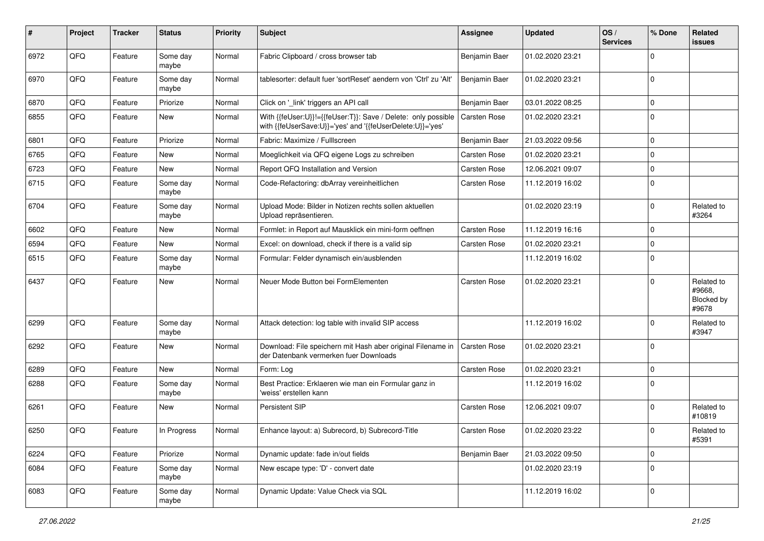| #    | Project | <b>Tracker</b> | <b>Status</b>     | <b>Priority</b> | <b>Subject</b>                                                                                                             | Assignee            | <b>Updated</b>   | OS/<br><b>Services</b> | % Done      | Related<br><b>issues</b>                    |
|------|---------|----------------|-------------------|-----------------|----------------------------------------------------------------------------------------------------------------------------|---------------------|------------------|------------------------|-------------|---------------------------------------------|
| 6972 | QFQ     | Feature        | Some day<br>maybe | Normal          | Fabric Clipboard / cross browser tab                                                                                       | Benjamin Baer       | 01.02.2020 23:21 |                        | $\mathbf 0$ |                                             |
| 6970 | QFQ     | Feature        | Some day<br>maybe | Normal          | tablesorter: default fuer 'sortReset' aendern von 'Ctrl' zu 'Alt'                                                          | Benjamin Baer       | 01.02.2020 23:21 |                        | $\mathbf 0$ |                                             |
| 6870 | QFQ     | Feature        | Priorize          | Normal          | Click on '_link' triggers an API call                                                                                      | Benjamin Baer       | 03.01.2022 08:25 |                        | $\mathbf 0$ |                                             |
| 6855 | QFQ     | Feature        | New               | Normal          | With {{feUser:U}}!={{feUser:T}}: Save / Delete: only possible<br>with {{feUserSave:U}}='yes' and '{{feUserDelete:U}}='yes' | Carsten Rose        | 01.02.2020 23:21 |                        | $\Omega$    |                                             |
| 6801 | QFQ     | Feature        | Priorize          | Normal          | Fabric: Maximize / Fulllscreen                                                                                             | Benjamin Baer       | 21.03.2022 09:56 |                        | $\mathbf 0$ |                                             |
| 6765 | QFQ     | Feature        | New               | Normal          | Moeglichkeit via QFQ eigene Logs zu schreiben                                                                              | Carsten Rose        | 01.02.2020 23:21 |                        | $\mathbf 0$ |                                             |
| 6723 | QFQ     | Feature        | New               | Normal          | Report QFQ Installation and Version                                                                                        | Carsten Rose        | 12.06.2021 09:07 |                        | $\mathbf 0$ |                                             |
| 6715 | QFQ     | Feature        | Some day<br>maybe | Normal          | Code-Refactoring: dbArray vereinheitlichen                                                                                 | Carsten Rose        | 11.12.2019 16:02 |                        | $\mathbf 0$ |                                             |
| 6704 | QFQ     | Feature        | Some day<br>maybe | Normal          | Upload Mode: Bilder in Notizen rechts sollen aktuellen<br>Upload repräsentieren.                                           |                     | 01.02.2020 23:19 |                        | $\mathbf 0$ | Related to<br>#3264                         |
| 6602 | QFQ     | Feature        | New               | Normal          | Formlet: in Report auf Mausklick ein mini-form oeffnen                                                                     | Carsten Rose        | 11.12.2019 16:16 |                        | $\mathbf 0$ |                                             |
| 6594 | QFQ     | Feature        | New               | Normal          | Excel: on download, check if there is a valid sip                                                                          | Carsten Rose        | 01.02.2020 23:21 |                        | $\mathbf 0$ |                                             |
| 6515 | QFQ     | Feature        | Some day<br>maybe | Normal          | Formular: Felder dynamisch ein/ausblenden                                                                                  |                     | 11.12.2019 16:02 |                        | $\Omega$    |                                             |
| 6437 | QFQ     | Feature        | New               | Normal          | Neuer Mode Button bei FormElementen                                                                                        | Carsten Rose        | 01.02.2020 23:21 |                        | $\mathbf 0$ | Related to<br>#9668,<br>Blocked by<br>#9678 |
| 6299 | QFQ     | Feature        | Some day<br>maybe | Normal          | Attack detection: log table with invalid SIP access                                                                        |                     | 11.12.2019 16:02 |                        | $\mathbf 0$ | Related to<br>#3947                         |
| 6292 | QFQ     | Feature        | New               | Normal          | Download: File speichern mit Hash aber original Filename in<br>der Datenbank vermerken fuer Downloads                      | <b>Carsten Rose</b> | 01.02.2020 23:21 |                        | $\mathbf 0$ |                                             |
| 6289 | QFQ     | Feature        | New               | Normal          | Form: Log                                                                                                                  | Carsten Rose        | 01.02.2020 23:21 |                        | $\mathbf 0$ |                                             |
| 6288 | QFQ     | Feature        | Some day<br>maybe | Normal          | Best Practice: Erklaeren wie man ein Formular ganz in<br>'weiss' erstellen kann                                            |                     | 11.12.2019 16:02 |                        | $\mathbf 0$ |                                             |
| 6261 | QFQ     | Feature        | New               | Normal          | Persistent SIP                                                                                                             | Carsten Rose        | 12.06.2021 09:07 |                        | $\mathbf 0$ | Related to<br>#10819                        |
| 6250 | QFQ     | Feature        | In Progress       | Normal          | Enhance layout: a) Subrecord, b) Subrecord-Title                                                                           | Carsten Rose        | 01.02.2020 23:22 |                        | $\mathbf 0$ | Related to<br>#5391                         |
| 6224 | QFQ     | Feature        | Priorize          | Normal          | Dynamic update: fade in/out fields                                                                                         | Benjamin Baer       | 21.03.2022 09:50 |                        | $\mathbf 0$ |                                             |
| 6084 | QFQ     | Feature        | Some day<br>maybe | Normal          | New escape type: 'D' - convert date                                                                                        |                     | 01.02.2020 23:19 |                        | $\mathbf 0$ |                                             |
| 6083 | QFQ     | Feature        | Some day<br>maybe | Normal          | Dynamic Update: Value Check via SQL                                                                                        |                     | 11.12.2019 16:02 |                        | $\pmb{0}$   |                                             |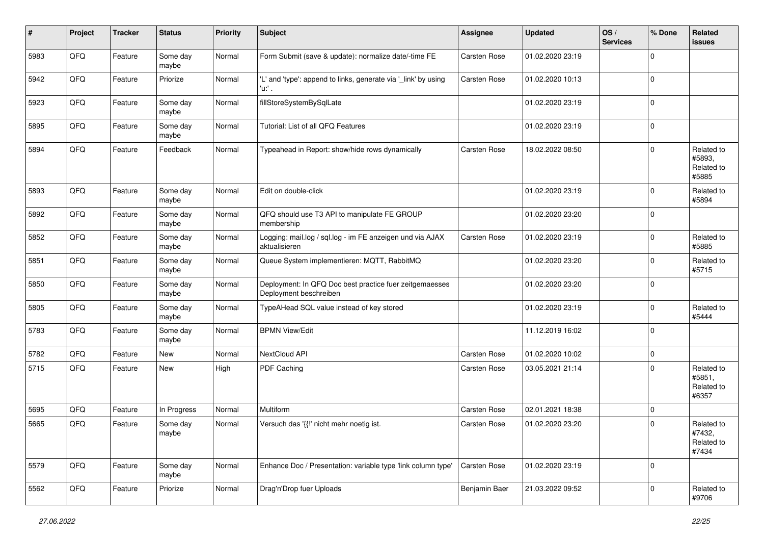| #    | Project | <b>Tracker</b> | <b>Status</b>     | <b>Priority</b> | Subject                                                                           | Assignee            | <b>Updated</b>   | OS/<br><b>Services</b> | % Done      | Related<br>issues                           |
|------|---------|----------------|-------------------|-----------------|-----------------------------------------------------------------------------------|---------------------|------------------|------------------------|-------------|---------------------------------------------|
| 5983 | QFQ     | Feature        | Some day<br>maybe | Normal          | Form Submit (save & update): normalize date/-time FE                              | Carsten Rose        | 01.02.2020 23:19 |                        | $\Omega$    |                                             |
| 5942 | QFQ     | Feature        | Priorize          | Normal          | 'L' and 'type': append to links, generate via 'link' by using<br>'u:' .           | <b>Carsten Rose</b> | 01.02.2020 10:13 |                        | $\mathbf 0$ |                                             |
| 5923 | QFQ     | Feature        | Some day<br>maybe | Normal          | fillStoreSystemBySqlLate                                                          |                     | 01.02.2020 23:19 |                        | $\Omega$    |                                             |
| 5895 | QFQ     | Feature        | Some day<br>maybe | Normal          | Tutorial: List of all QFQ Features                                                |                     | 01.02.2020 23:19 |                        | $\mathbf 0$ |                                             |
| 5894 | QFQ     | Feature        | Feedback          | Normal          | Typeahead in Report: show/hide rows dynamically                                   | Carsten Rose        | 18.02.2022 08:50 |                        | $\mathbf 0$ | Related to<br>#5893.<br>Related to<br>#5885 |
| 5893 | QFQ     | Feature        | Some day<br>maybe | Normal          | Edit on double-click                                                              |                     | 01.02.2020 23:19 |                        | $\mathbf 0$ | Related to<br>#5894                         |
| 5892 | QFQ     | Feature        | Some day<br>maybe | Normal          | QFQ should use T3 API to manipulate FE GROUP<br>membership                        |                     | 01.02.2020 23:20 |                        | $\Omega$    |                                             |
| 5852 | QFQ     | Feature        | Some day<br>maybe | Normal          | Logging: mail.log / sql.log - im FE anzeigen und via AJAX<br>aktualisieren        | Carsten Rose        | 01.02.2020 23:19 |                        | $\mathbf 0$ | Related to<br>#5885                         |
| 5851 | QFQ     | Feature        | Some day<br>maybe | Normal          | Queue System implementieren: MQTT, RabbitMQ                                       |                     | 01.02.2020 23:20 |                        | $\mathbf 0$ | Related to<br>#5715                         |
| 5850 | QFQ     | Feature        | Some day<br>maybe | Normal          | Deployment: In QFQ Doc best practice fuer zeitgemaesses<br>Deployment beschreiben |                     | 01.02.2020 23:20 |                        | $\mathbf 0$ |                                             |
| 5805 | QFQ     | Feature        | Some day<br>maybe | Normal          | TypeAHead SQL value instead of key stored                                         |                     | 01.02.2020 23:19 |                        | $\mathbf 0$ | Related to<br>#5444                         |
| 5783 | QFQ     | Feature        | Some day<br>maybe | Normal          | <b>BPMN View/Edit</b>                                                             |                     | 11.12.2019 16:02 |                        | $\Omega$    |                                             |
| 5782 | QFQ     | Feature        | <b>New</b>        | Normal          | NextCloud API                                                                     | Carsten Rose        | 01.02.2020 10:02 |                        | $\pmb{0}$   |                                             |
| 5715 | QFQ     | Feature        | New               | High            | PDF Caching                                                                       | Carsten Rose        | 03.05.2021 21:14 |                        | $\mathbf 0$ | Related to<br>#5851,<br>Related to<br>#6357 |
| 5695 | QFQ     | Feature        | In Progress       | Normal          | Multiform                                                                         | <b>Carsten Rose</b> | 02.01.2021 18:38 |                        | $\mathbf 0$ |                                             |
| 5665 | QFQ     | Feature        | Some day<br>maybe | Normal          | Versuch das '{{!' nicht mehr noetig ist.                                          | Carsten Rose        | 01.02.2020 23:20 |                        | $\Omega$    | Related to<br>#7432,<br>Related to<br>#7434 |
| 5579 | QFQ     | Feature        | Some day<br>maybe | Normal          | Enhance Doc / Presentation: variable type 'link column type'                      | Carsten Rose        | 01.02.2020 23:19 |                        | $\mathbf 0$ |                                             |
| 5562 | QFQ     | Feature        | Priorize          | Normal          | Drag'n'Drop fuer Uploads                                                          | Benjamin Baer       | 21.03.2022 09:52 |                        | $\mathbf 0$ | Related to<br>#9706                         |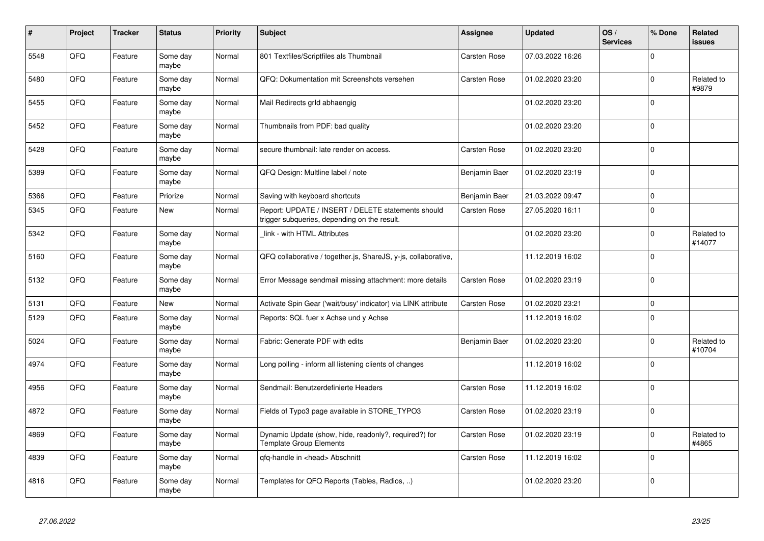| #    | Project | <b>Tracker</b> | <b>Status</b>     | <b>Priority</b> | <b>Subject</b>                                                                                     | Assignee            | <b>Updated</b>   | OS/<br><b>Services</b> | % Done       | Related<br><b>issues</b> |
|------|---------|----------------|-------------------|-----------------|----------------------------------------------------------------------------------------------------|---------------------|------------------|------------------------|--------------|--------------------------|
| 5548 | QFQ     | Feature        | Some day<br>maybe | Normal          | 801 Textfiles/Scriptfiles als Thumbnail                                                            | Carsten Rose        | 07.03.2022 16:26 |                        | $\mathbf 0$  |                          |
| 5480 | QFQ     | Feature        | Some day<br>maybe | Normal          | QFQ: Dokumentation mit Screenshots versehen                                                        | Carsten Rose        | 01.02.2020 23:20 |                        | $\mathbf 0$  | Related to<br>#9879      |
| 5455 | QFQ     | Feature        | Some day<br>maybe | Normal          | Mail Redirects grld abhaengig                                                                      |                     | 01.02.2020 23:20 |                        | $\mathbf 0$  |                          |
| 5452 | QFQ     | Feature        | Some day<br>maybe | Normal          | Thumbnails from PDF: bad quality                                                                   |                     | 01.02.2020 23:20 |                        | $\mathbf 0$  |                          |
| 5428 | QFQ     | Feature        | Some day<br>maybe | Normal          | secure thumbnail: late render on access.                                                           | <b>Carsten Rose</b> | 01.02.2020 23:20 |                        | $\mathbf 0$  |                          |
| 5389 | QFQ     | Feature        | Some day<br>maybe | Normal          | QFQ Design: Multline label / note                                                                  | Benjamin Baer       | 01.02.2020 23:19 |                        | 0            |                          |
| 5366 | QFQ     | Feature        | Priorize          | Normal          | Saving with keyboard shortcuts                                                                     | Benjamin Baer       | 21.03.2022 09:47 |                        | $\mathbf 0$  |                          |
| 5345 | QFQ     | Feature        | New               | Normal          | Report: UPDATE / INSERT / DELETE statements should<br>trigger subqueries, depending on the result. | Carsten Rose        | 27.05.2020 16:11 |                        | 0            |                          |
| 5342 | QFQ     | Feature        | Some day<br>maybe | Normal          | link - with HTML Attributes                                                                        |                     | 01.02.2020 23:20 |                        | $\mathbf{0}$ | Related to<br>#14077     |
| 5160 | QFQ     | Feature        | Some day<br>maybe | Normal          | QFQ collaborative / together.js, ShareJS, y-js, collaborative,                                     |                     | 11.12.2019 16:02 |                        | $\Omega$     |                          |
| 5132 | QFQ     | Feature        | Some day<br>maybe | Normal          | Error Message sendmail missing attachment: more details                                            | Carsten Rose        | 01.02.2020 23:19 |                        | 0            |                          |
| 5131 | QFQ     | Feature        | New               | Normal          | Activate Spin Gear ('wait/busy' indicator) via LINK attribute                                      | Carsten Rose        | 01.02.2020 23:21 |                        | $\mathbf 0$  |                          |
| 5129 | QFQ     | Feature        | Some day<br>maybe | Normal          | Reports: SQL fuer x Achse und y Achse                                                              |                     | 11.12.2019 16:02 |                        | 0            |                          |
| 5024 | QFQ     | Feature        | Some day<br>maybe | Normal          | Fabric: Generate PDF with edits                                                                    | Benjamin Baer       | 01.02.2020 23:20 |                        | $\mathbf 0$  | Related to<br>#10704     |
| 4974 | QFQ     | Feature        | Some day<br>maybe | Normal          | Long polling - inform all listening clients of changes                                             |                     | 11.12.2019 16:02 |                        | 0            |                          |
| 4956 | QFQ     | Feature        | Some day<br>maybe | Normal          | Sendmail: Benutzerdefinierte Headers                                                               | Carsten Rose        | 11.12.2019 16:02 |                        | 0            |                          |
| 4872 | QFQ     | Feature        | Some day<br>maybe | Normal          | Fields of Typo3 page available in STORE_TYPO3                                                      | Carsten Rose        | 01.02.2020 23:19 |                        | $\Omega$     |                          |
| 4869 | QFQ     | Feature        | Some day<br>maybe | Normal          | Dynamic Update (show, hide, readonly?, required?) for<br><b>Template Group Elements</b>            | Carsten Rose        | 01.02.2020 23:19 |                        | $\Omega$     | Related to<br>#4865      |
| 4839 | QFQ     | Feature        | Some day<br>maybe | Normal          | qfq-handle in <head> Abschnitt</head>                                                              | Carsten Rose        | 11.12.2019 16:02 |                        | $\mathbf 0$  |                          |
| 4816 | QFQ     | Feature        | Some day<br>maybe | Normal          | Templates for QFQ Reports (Tables, Radios, )                                                       |                     | 01.02.2020 23:20 |                        | $\mathbf 0$  |                          |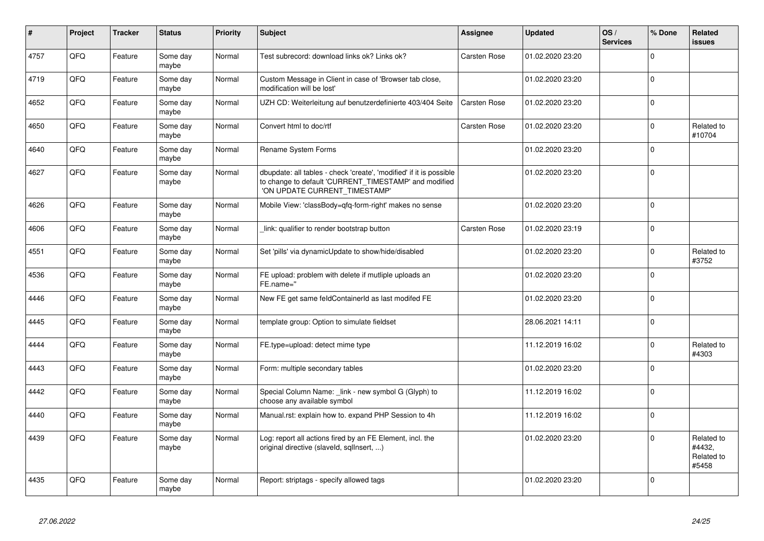| $\vert$ # | Project | <b>Tracker</b> | <b>Status</b>     | <b>Priority</b> | <b>Subject</b>                                                                                                                                                | Assignee            | <b>Updated</b>   | OS/<br><b>Services</b> | % Done      | Related<br><b>issues</b>                    |
|-----------|---------|----------------|-------------------|-----------------|---------------------------------------------------------------------------------------------------------------------------------------------------------------|---------------------|------------------|------------------------|-------------|---------------------------------------------|
| 4757      | QFQ     | Feature        | Some day<br>maybe | Normal          | Test subrecord: download links ok? Links ok?                                                                                                                  | Carsten Rose        | 01.02.2020 23:20 |                        | $\mathbf 0$ |                                             |
| 4719      | QFQ     | Feature        | Some day<br>maybe | Normal          | Custom Message in Client in case of 'Browser tab close,<br>modification will be lost'                                                                         |                     | 01.02.2020 23:20 |                        | $\mathbf 0$ |                                             |
| 4652      | QFQ     | Feature        | Some day<br>maybe | Normal          | UZH CD: Weiterleitung auf benutzerdefinierte 403/404 Seite                                                                                                    | <b>Carsten Rose</b> | 01.02.2020 23:20 |                        | $\mathbf 0$ |                                             |
| 4650      | QFQ     | Feature        | Some day<br>maybe | Normal          | Convert html to doc/rtf                                                                                                                                       | Carsten Rose        | 01.02.2020 23:20 |                        | $\mathbf 0$ | Related to<br>#10704                        |
| 4640      | QFQ     | Feature        | Some day<br>maybe | Normal          | Rename System Forms                                                                                                                                           |                     | 01.02.2020 23:20 |                        | $\mathbf 0$ |                                             |
| 4627      | QFQ     | Feature        | Some day<br>maybe | Normal          | dbupdate: all tables - check 'create', 'modified' if it is possible<br>to change to default 'CURRENT_TIMESTAMP' and modified<br>'ON UPDATE CURRENT TIMESTAMP' |                     | 01.02.2020 23:20 |                        | $\mathbf 0$ |                                             |
| 4626      | QFQ     | Feature        | Some day<br>maybe | Normal          | Mobile View: 'classBody=qfq-form-right' makes no sense                                                                                                        |                     | 01.02.2020 23:20 |                        | $\mathbf 0$ |                                             |
| 4606      | QFQ     | Feature        | Some day<br>maybe | Normal          | link: qualifier to render bootstrap button                                                                                                                    | Carsten Rose        | 01.02.2020 23:19 |                        | $\pmb{0}$   |                                             |
| 4551      | QFQ     | Feature        | Some day<br>maybe | Normal          | Set 'pills' via dynamicUpdate to show/hide/disabled                                                                                                           |                     | 01.02.2020 23:20 |                        | $\mathbf 0$ | Related to<br>#3752                         |
| 4536      | QFQ     | Feature        | Some day<br>maybe | Normal          | FE upload: problem with delete if mutliple uploads an<br>FE.name="                                                                                            |                     | 01.02.2020 23:20 |                        | $\mathbf 0$ |                                             |
| 4446      | QFQ     | Feature        | Some dav<br>maybe | Normal          | New FE get same feldContainerId as last modifed FE                                                                                                            |                     | 01.02.2020 23:20 |                        | $\mathbf 0$ |                                             |
| 4445      | QFQ     | Feature        | Some day<br>maybe | Normal          | template group: Option to simulate fieldset                                                                                                                   |                     | 28.06.2021 14:11 |                        | $\mathbf 0$ |                                             |
| 4444      | QFQ     | Feature        | Some day<br>maybe | Normal          | FE.type=upload: detect mime type                                                                                                                              |                     | 11.12.2019 16:02 |                        | $\mathbf 0$ | Related to<br>#4303                         |
| 4443      | QFQ     | Feature        | Some dav<br>maybe | Normal          | Form: multiple secondary tables                                                                                                                               |                     | 01.02.2020 23:20 |                        | $\Omega$    |                                             |
| 4442      | QFQ     | Feature        | Some day<br>maybe | Normal          | Special Column Name: _link - new symbol G (Glyph) to<br>choose any available symbol                                                                           |                     | 11.12.2019 16:02 |                        | $\mathbf 0$ |                                             |
| 4440      | QFQ     | Feature        | Some day<br>maybe | Normal          | Manual.rst: explain how to. expand PHP Session to 4h                                                                                                          |                     | 11.12.2019 16:02 |                        | $\mathbf 0$ |                                             |
| 4439      | QFQ     | Feature        | Some day<br>maybe | Normal          | Log: report all actions fired by an FE Element, incl. the<br>original directive (slaveld, sqllnsert, )                                                        |                     | 01.02.2020 23:20 |                        | $\mathbf 0$ | Related to<br>#4432,<br>Related to<br>#5458 |
| 4435      | QFQ     | Feature        | Some day<br>maybe | Normal          | Report: striptags - specify allowed tags                                                                                                                      |                     | 01.02.2020 23:20 |                        | $\pmb{0}$   |                                             |